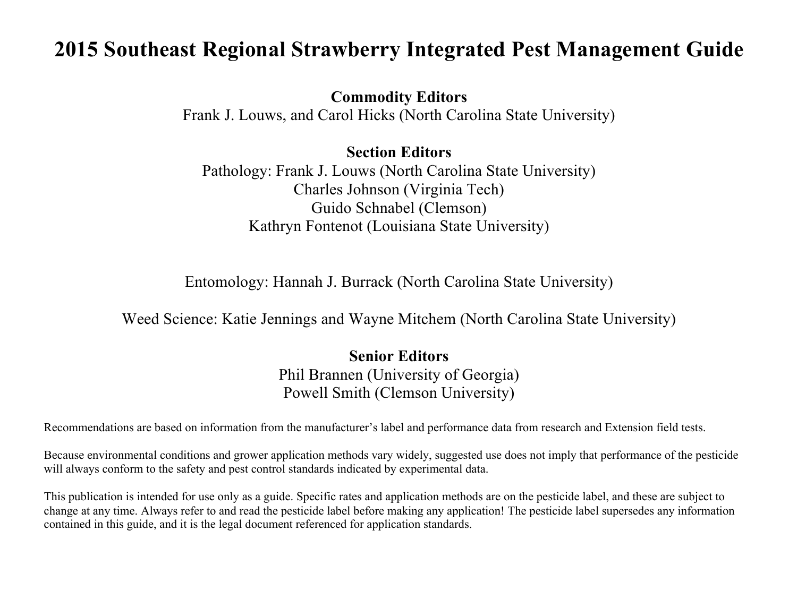### **2015 Southeast Regional Strawberry Integrated Pest Management Guide**

**Commodity Editors**

Frank J. Louws, and Carol Hicks (North Carolina State University)

**Section Editors**

Pathology: Frank J. Louws (North Carolina State University) Charles Johnson (Virginia Tech) Guido Schnabel (Clemson) Kathryn Fontenot (Louisiana State University)

Entomology: Hannah J. Burrack (North Carolina State University)

Weed Science: Katie Jennings and Wayne Mitchem (North Carolina State University)

**Senior Editors** Phil Brannen (University of Georgia) Powell Smith (Clemson University)

Recommendations are based on information from the manufacturer's label and performance data from research and Extension field tests.

Because environmental conditions and grower application methods vary widely, suggested use does not imply that performance of the pesticide will always conform to the safety and pest control standards indicated by experimental data.

This publication is intended for use only as a guide. Specific rates and application methods are on the pesticide label, and these are subject to change at any time. Always refer to and read the pesticide label before making any application! The pesticide label supersedes any information contained in this guide, and it is the legal document referenced for application standards.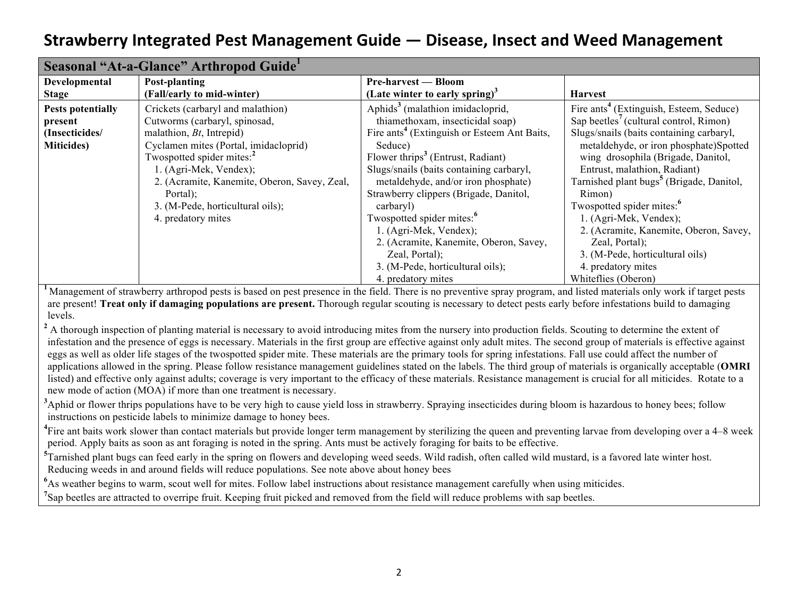|                          | Seasonal "At-a-Glance" Arthropod Guide"      |                                                         |                                                      |
|--------------------------|----------------------------------------------|---------------------------------------------------------|------------------------------------------------------|
| Developmental            | Post-planting                                | <b>Pre-harvest — Bloom</b>                              |                                                      |
| <b>Stage</b>             | (Fall/early to mid-winter)                   | (Late winter to early spring) <sup>3</sup>              | <b>Harvest</b>                                       |
| <b>Pests potentially</b> | Crickets (carbaryl and malathion)            | Aphids <sup>3</sup> (malathion imidacloprid,            | Fire ants <sup>4</sup> (Extinguish, Esteem, Seduce)  |
| present                  | Cutworms (carbaryl, spinosad,                | thiamethoxam, insecticidal soap)                        | Sap beetles' (cultural control, Rimon)               |
| (Insecticides/           | malathion, $Bt$ , Intrepid)                  | Fire ants <sup>4</sup> (Extinguish or Esteem Ant Baits, | Slugs/snails (baits containing carbaryl,             |
| <b>Miticides</b> )       | Cyclamen mites (Portal, imidacloprid)        | Seduce)                                                 | metaldehyde, or iron phosphate)Spotted               |
|                          | Twospotted spider mites: <sup>2</sup>        | Flower thrips <sup>3</sup> (Entrust, Radiant)           | wing drosophila (Brigade, Danitol,                   |
|                          | 1. (Agri-Mek, Vendex);                       | Slugs/snails (baits containing carbaryl,                | Entrust, malathion, Radiant)                         |
|                          | 2. (Acramite, Kanemite, Oberon, Savey, Zeal, | metaldehyde, and/or iron phosphate)                     | Tarnished plant bugs <sup>5</sup> (Brigade, Danitol, |
|                          | Portal);                                     | Strawberry clippers (Brigade, Danitol,                  | Rimon)                                               |
|                          | 3. (M-Pede, horticultural oils);             | carbaryl)                                               | Twospotted spider mites: <sup>6</sup>                |
|                          | 4. predatory mites                           | Twospotted spider mites: <sup>6</sup>                   | 1. (Agri-Mek, Vendex);                               |
|                          |                                              | 1. (Agri-Mek, Vendex);                                  | 2. (Acramite, Kanemite, Oberon, Savey,               |
|                          |                                              | 2. (Acramite, Kanemite, Oberon, Savey,                  | Zeal, Portal);                                       |
|                          |                                              | Zeal, Portal);                                          | 3. (M-Pede, horticultural oils)                      |
|                          |                                              | 3. (M-Pede, horticultural oils);                        | 4. predatory mites                                   |
|                          |                                              | 4. predatory mites                                      | Whiteflies (Oberon)                                  |

<sup>1</sup>Management of strawberry arthropod pests is based on pest presence in the field. There is no preventive spray program, and listed materials only work if target pests are present! **Treat only if damaging populations are present.** Thorough regular scouting is necessary to detect pests early before infestations build to damaging levels.

<sup>2</sup> A thorough inspection of planting material is necessary to avoid introducing mites from the nursery into production fields. Scouting to determine the extent of infestation and the presence of eggs is necessary. Materials in the first group are effective against only adult mites. The second group of materials is effective against eggs as well as older life stages of the twospotted spider mite. These materials are the primary tools for spring infestations. Fall use could affect the number of applications allowed in the spring. Please follow resistance management guidelines stated on the labels. The third group of materials is organically acceptable (**OMRI**  listed) and effective only against adults; coverage is very important to the efficacy of these materials. Resistance management is crucial for all miticides. Rotate to a new mode of action (MOA) if more than one treatment is necessary.

<sup>3</sup>Aphid or flower thrips populations have to be very high to cause yield loss in strawberry. Spraying insecticides during bloom is hazardous to honey bees; follow instructions on pesticide labels to minimize damage to honey bees.

<sup>4</sup>Fire ant baits work slower than contact materials but provide longer term management by sterilizing the queen and preventing larvae from developing over a 4–8 week period. Apply baits as soon as ant foraging is noted in the spring. Ants must be actively foraging for baits to be effective.

<sup>5</sup>Tarnished plant bugs can feed early in the spring on flowers and developing weed seeds. Wild radish, often called wild mustard, is a favored late winter host. Reducing weeds in and around fields will reduce populations. See note above about honey bees

<sup>6</sup>As weather begins to warm, scout well for mites. Follow label instructions about resistance management carefully when using miticides.

<sup>7</sup>Sap beetles are attracted to overripe fruit. Keeping fruit picked and removed from the field will reduce problems with sap beetles.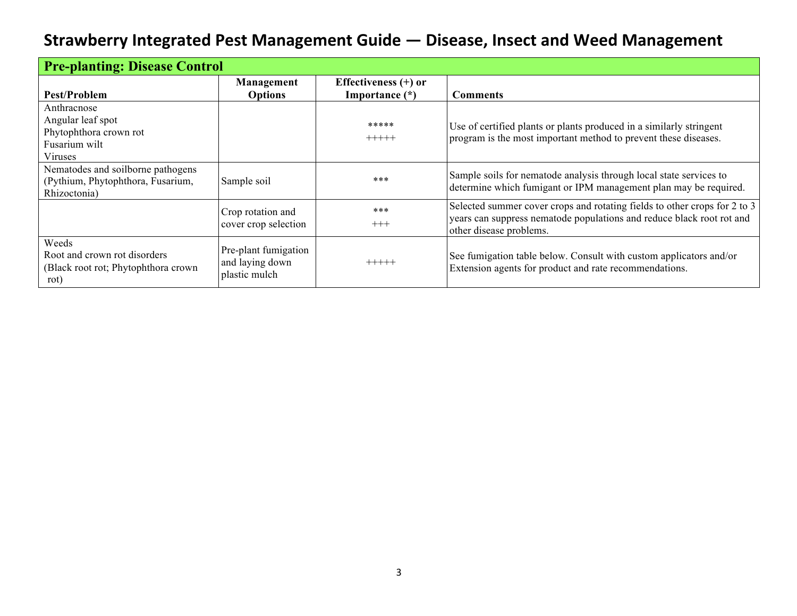| <b>Pre-planting: Disease Control</b>                                                   |                                                          |                        |                                                                                                                                                                               |
|----------------------------------------------------------------------------------------|----------------------------------------------------------|------------------------|-------------------------------------------------------------------------------------------------------------------------------------------------------------------------------|
|                                                                                        | Management                                               | Effectiveness $(+)$ or |                                                                                                                                                                               |
| Pest/Problem                                                                           | <b>Options</b>                                           | Importance $(*)$       | <b>Comments</b>                                                                                                                                                               |
| Anthracnose<br>Angular leaf spot                                                       |                                                          | *****                  | Use of certified plants or plants produced in a similarly stringent                                                                                                           |
| Phytophthora crown rot<br>Fusarium wilt<br>Viruses                                     |                                                          | $+++++$                | program is the most important method to prevent these diseases.                                                                                                               |
| Nematodes and soilborne pathogens<br>(Pythium, Phytophthora, Fusarium,<br>Rhizoctonia) | Sample soil                                              | ***                    | Sample soils for nematode analysis through local state services to<br>determine which fumigant or IPM management plan may be required.                                        |
|                                                                                        | Crop rotation and<br>cover crop selection                | ***<br>$+++$           | Selected summer cover crops and rotating fields to other crops for 2 to 3<br>years can suppress nematode populations and reduce black root rot and<br>other disease problems. |
| Weeds<br>Root and crown rot disorders<br>(Black root rot; Phytophthora crown<br>rot)   | Pre-plant fumigation<br>and laying down<br>plastic mulch | $+++++$                | See fumigation table below. Consult with custom applicators and/or<br>Extension agents for product and rate recommendations.                                                  |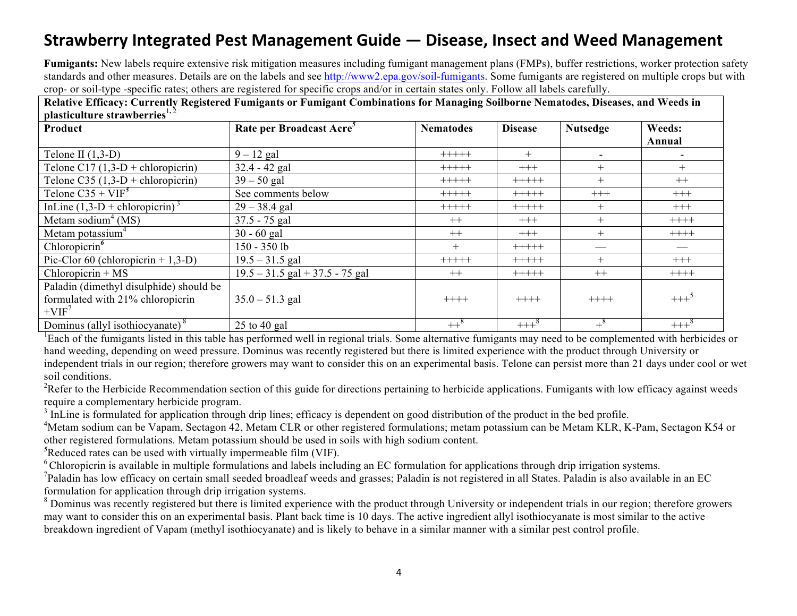**Fumigants:** New labels require extensive risk mitigation measures including fumigant management plans (FMPs), buffer restrictions, worker protection safety standards and other measures. Details are on the labels and see http://www2.epa.gov/soil-fumigants. Some fumigants are registered on multiple crops but with crop- or soil-type -specific rates; others are registered for specific crops and/or in certain states only. Follow all labels carefully.

| невите пиненут сагтениу недвител и анидано от ганидане сополнаноня гог гланадид бопоотнетеннаомея плясая дна чтесая н<br>plasticulture strawberries <sup>1,2</sup> |                                      |                  |                |                  |                  |
|--------------------------------------------------------------------------------------------------------------------------------------------------------------------|--------------------------------------|------------------|----------------|------------------|------------------|
| Product                                                                                                                                                            | Rate per Broadcast Acre <sup>3</sup> | <b>Nematodes</b> | <b>Disease</b> | <b>Nutsedge</b>  | Weeds:<br>Annual |
| Telone II $(1,3-D)$                                                                                                                                                | $9 - 12$ gal                         | $+++++$          | $+$            |                  |                  |
| Telone C17 $(1,3-D + \text{chloropicrin})$                                                                                                                         | $32.4 - 42$ gal                      | $+++++$          | $+++$          | $^{+}$           | $^{+}$           |
| Telone C35 $(1,3-D + \text{chloropicrin})$                                                                                                                         | $39 - 50$ gal                        | $+++++$          | $+++++$        | $+$              | $++$             |
| Telone $C35 + VIF^5$                                                                                                                                               | See comments below                   | $+++++$          | $+++++$        | $^{+++}$         | $^{+++}$         |
| InLine $(1,3-D + \text{chloropicrin})^3$                                                                                                                           | $29 - 38.4$ gal                      | +++++            | $+++++$        | $+$              | $+++$            |
| Metam sodium <sup>4</sup> (MS)                                                                                                                                     | $37.5 - 75$ gal                      | $++$             | $+++$          | $+$              | $++++-$          |
| Metam potassium <sup>4</sup>                                                                                                                                       | $30 - 60$ gal                        | $++$             | $+++$          | $+$              | $++++$           |
| Chloropicrin $^6$                                                                                                                                                  | 150 - 350 lb                         | $+$              | $+++++$        |                  |                  |
| Pic-Clor 60 (chloropicrin $+ 1,3-D$ )                                                                                                                              | $19.5 - 31.5$ gal                    | $+++++$          | $+++++$        | $+$              | $^{+++}$         |
| Chloropicrin + $MS$                                                                                                                                                | $19.5 - 31.5$ gal + 37.5 - 75 gal    | $++$             | $+++++$        | $++$             | $+++++$          |
| Paladin (dimethyl disulphide) should be<br>formulated with 21% chloropicrin<br>$+VIF7$                                                                             | $35.0 - 51.3$ gal                    | $++++-$          | $+++++$        | $+++++$          | $+++^5$          |
| Dominus (allyl isothiocyanate) <sup>8</sup>                                                                                                                        | $25$ to 40 gal                       | $++^8$           | $+++8$         | $+$ <sup>8</sup> | $+++2$           |

**Relative Efficacy: Currently Registered Fumigants or Fumigant Combinations for Managing Soilborne Nematodes, Diseases, and Weeds in** 

 ${}^{1}$ Each of the fumigants listed in this table has performed well in regional trials. Some alternative fumigants may need to be complemented with herbicides or hand weeding, depending on weed pressure. Dominus was recently registered but there is limited experience with the product through University or independent trials in our region; therefore growers may want to consider this on an experimental basis. Telone can persist more than 21 days under cool or wet soil conditions.

<sup>2</sup>Refer to the Herbicide Recommendation section of this guide for directions pertaining to herbicide applications. Fumigants with low efficacy against weeds require a complementary herbicide program.<br><sup>3</sup> InLine is formulated for application through drip lines; efficacy is dependent on good distribution of the product in the bed profile.

<sup>4</sup>Metam sodium can be Vapam, Sectagon 42, Metam CLR or other registered formulations; metam potassium can be Metam KLR, K-Pam, Sectagon K54 or other registered formulations. Metam potassium should be used in soils with high sodium content.

*5* Reduced rates can be used with virtually impermeable film (VIF).

<sup>6</sup> Chloropicrin is available in multiple formulations and labels including an EC formulation for applications through drip irrigation systems.

 $^7$ Paladin has low efficacy on certain small seeded broadleaf weeds and grasses; Paladin is not registered in all States. Paladin is also available in an EC formulation for application through drip irrigation systems.

<sup>8</sup> Dominus was recently registered but there is limited experience with the product through University or independent trials in our region; therefore growers may want to consider this on an experimental basis. Plant back time is 10 days. The active ingredient allyl isothiocyanate is most similar to the active breakdown ingredient of Vapam (methyl isothiocyanate) and is likely to behave in a similar manner with a similar pest control profile.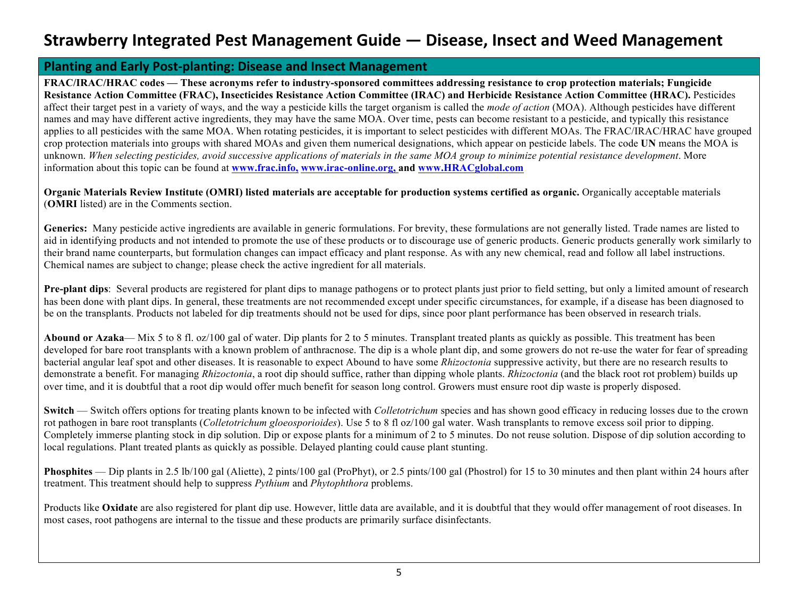#### **Planting and Early Post-planting: Disease and Insect Management**

**FRAC/IRAC/HRAC codes — These acronyms refer to industry-sponsored committees addressing resistance to crop protection materials; Fungicide Resistance Action Committee (FRAC), Insecticides Resistance Action Committee (IRAC) and Herbicide Resistance Action Committee (HRAC).** Pesticides affect their target pest in a variety of ways, and the way a pesticide kills the target organism is called the *mode of action* (MOA). Although pesticides have different names and may have different active ingredients, they may have the same MOA. Over time, pests can become resistant to a pesticide, and typically this resistance applies to all pesticides with the same MOA. When rotating pesticides, it is important to select pesticides with different MOAs. The FRAC/IRAC/HRAC have grouped crop protection materials into groups with shared MOAs and given them numerical designations, which appear on pesticide labels. The code **UN** means the MOA is unknown. *When selecting pesticides, avoid successive applications of materials in the same MOA group to minimize potential resistance development*. More information about this topic can be found at **www.frac.info, www.irac-online.org, and www.HRACglobal.com**

**Organic Materials Review Institute (OMRI) listed materials are acceptable for production systems certified as organic.** Organically acceptable materials (**OMRI** listed) are in the Comments section.

Generics: Many pesticide active ingredients are available in generic formulations. For brevity, these formulations are not generally listed. Trade names are listed to aid in identifying products and not intended to promote the use of these products or to discourage use of generic products. Generic products generally work similarly to their brand name counterparts, but formulation changes can impact efficacy and plant response. As with any new chemical, read and follow all label instructions. Chemical names are subject to change; please check the active ingredient for all materials.

**Pre-plant dips**: Several products are registered for plant dips to manage pathogens or to protect plants just prior to field setting, but only a limited amount of research has been done with plant dips. In general, these treatments are not recommended except under specific circumstances, for example, if a disease has been diagnosed to be on the transplants. Products not labeled for dip treatments should not be used for dips, since poor plant performance has been observed in research trials.

**Abound or Azaka—** Mix 5 to 8 fl. oz/100 gal of water. Dip plants for 2 to 5 minutes. Transplant treated plants as quickly as possible. This treatment has been developed for bare root transplants with a known problem of anthracnose. The dip is a whole plant dip, and some growers do not re-use the water for fear of spreading bacterial angular leaf spot and other diseases. It is reasonable to expect Abound to have some *Rhizoctonia* suppressive activity, but there are no research results to demonstrate a benefit. For managing *Rhizoctonia*, a root dip should suffice, rather than dipping whole plants. *Rhizoctonia* (and the black root rot problem) builds up over time, and it is doubtful that a root dip would offer much benefit for season long control. Growers must ensure root dip waste is properly disposed.

**Switch** — Switch offers options for treating plants known to be infected with *Colletotrichum* species and has shown good efficacy in reducing losses due to the crown rot pathogen in bare root transplants (*Colletotrichum gloeosporioides*). Use 5 to 8 fl oz/100 gal water. Wash transplants to remove excess soil prior to dipping. Completely immerse planting stock in dip solution. Dip or expose plants for a minimum of 2 to 5 minutes. Do not reuse solution. Dispose of dip solution according to local regulations. Plant treated plants as quickly as possible. Delayed planting could cause plant stunting.

**Phosphites** — Dip plants in 2.5 lb/100 gal (Aliette), 2 pints/100 gal (ProPhyt), or 2.5 pints/100 gal (Phostrol) for 15 to 30 minutes and then plant within 24 hours after treatment. This treatment should help to suppress *Pythium* and *Phytophthora* problems.

Products like **Oxidate** are also registered for plant dip use. However, little data are available, and it is doubtful that they would offer management of root diseases. In most cases, root pathogens are internal to the tissue and these products are primarily surface disinfectants.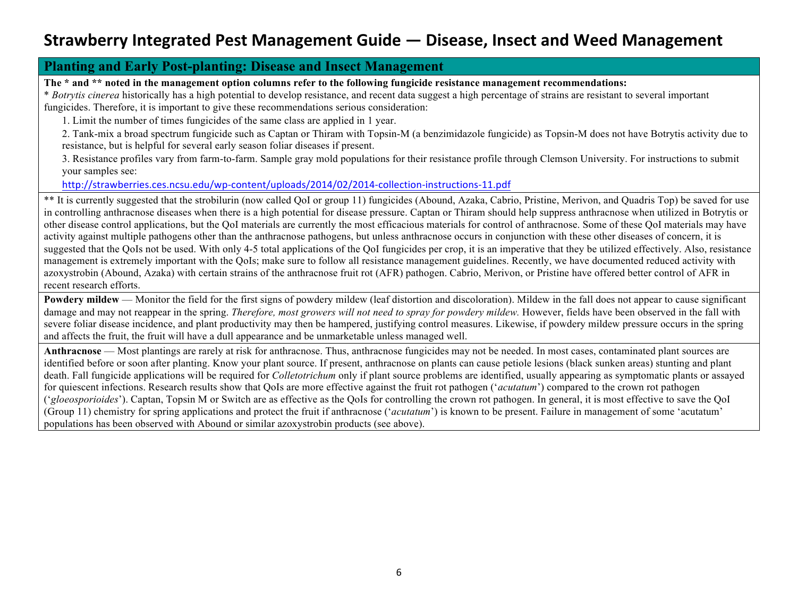#### **Planting and Early Post-planting: Disease and Insect Management**

**The \* and \*\* noted in the management option columns refer to the following fungicide resistance management recommendations:** 

\* *Botrytis cinerea* historically has a high potential to develop resistance, and recent data suggest a high percentage of strains are resistant to several important fungicides. Therefore, it is important to give these recommendations serious consideration:

1. Limit the number of times fungicides of the same class are applied in 1 year.

2. Tank-mix a broad spectrum fungicide such as Captan or Thiram with Topsin-M (a benzimidazole fungicide) as Topsin-M does not have Botrytis activity due to resistance, but is helpful for several early season foliar diseases if present.

3. Resistance profiles vary from farm-to-farm. Sample gray mold populations for their resistance profile through Clemson University. For instructions to submit your samples see:

http://strawberries.ces.ncsu.edu/wp-content/uploads/2014/02/2014-collection-instructions-11.pdf

\*\* It is currently suggested that the strobilurin (now called QoI or group 11) fungicides (Abound, Azaka, Cabrio, Pristine, Merivon, and Quadris Top) be saved for use in controlling anthracnose diseases when there is a high potential for disease pressure. Captan or Thiram should help suppress anthracnose when utilized in Botrytis or other disease control applications, but the QoI materials are currently the most efficacious materials for control of anthracnose. Some of these QoI materials may have activity against multiple pathogens other than the anthracnose pathogens, but unless anthracnose occurs in conjunction with these other diseases of concern, it is suggested that the QoIs not be used. With only 4-5 total applications of the QoI fungicides per crop, it is an imperative that they be utilized effectively. Also, resistance management is extremely important with the QoIs; make sure to follow all resistance management guidelines. Recently, we have documented reduced activity with azoxystrobin (Abound, Azaka) with certain strains of the anthracnose fruit rot (AFR) pathogen. Cabrio, Merivon, or Pristine have offered better control of AFR in recent research efforts.

**Powdery mildew** — Monitor the field for the first signs of powdery mildew (leaf distortion and discoloration). Mildew in the fall does not appear to cause significant damage and may not reappear in the spring. *Therefore, most growers will not need to spray for powdery mildew.* However, fields have been observed in the fall with severe foliar disease incidence, and plant productivity may then be hampered, justifying control measures. Likewise, if powdery mildew pressure occurs in the spring and affects the fruit, the fruit will have a dull appearance and be unmarketable unless managed well.

**Anthracnose** — Most plantings are rarely at risk for anthracnose. Thus, anthracnose fungicides may not be needed. In most cases, contaminated plant sources are identified before or soon after planting. Know your plant source. If present, anthracnose on plants can cause petiole lesions (black sunken areas) stunting and plant death. Fall fungicide applications will be required for *Colletotrichum* only if plant source problems are identified, usually appearing as symptomatic plants or assayed for quiescent infections. Research results show that QoIs are more effective against the fruit rot pathogen ('*acutatum*') compared to the crown rot pathogen ('*gloeosporioides*'). Captan, Topsin M or Switch are as effective as the QoIs for controlling the crown rot pathogen. In general, it is most effective to save the QoI (Group 11) chemistry for spring applications and protect the fruit if anthracnose ('*acutatum*') is known to be present. Failure in management of some 'acutatum' populations has been observed with Abound or similar azoxystrobin products (see above).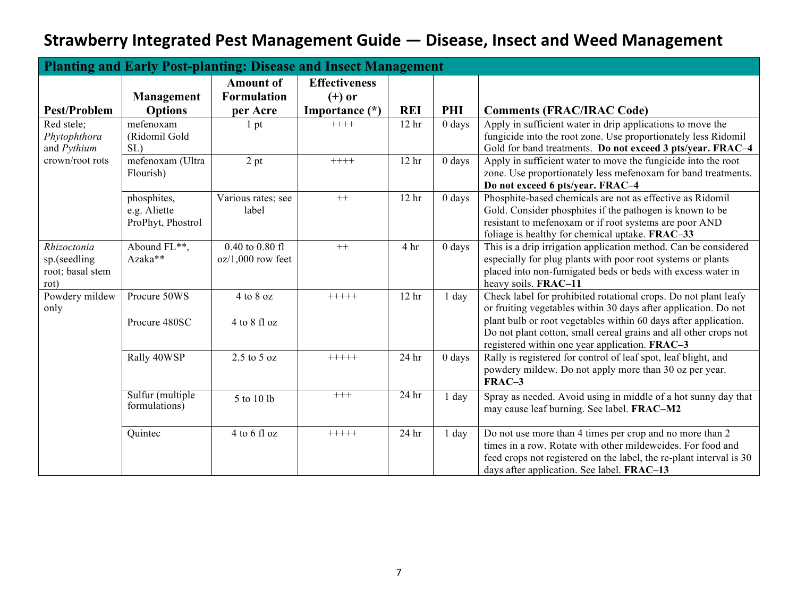|                                                         | <b>Planting and Early Post-planting: Disease and Insect Management</b> |                                        |                                  |                  |          |                                                                                                                                                                                                                                                                                                                             |  |  |  |  |
|---------------------------------------------------------|------------------------------------------------------------------------|----------------------------------------|----------------------------------|------------------|----------|-----------------------------------------------------------------------------------------------------------------------------------------------------------------------------------------------------------------------------------------------------------------------------------------------------------------------------|--|--|--|--|
|                                                         | <b>Management</b>                                                      | <b>Amount of</b><br><b>Formulation</b> | <b>Effectiveness</b><br>$(+)$ or |                  |          |                                                                                                                                                                                                                                                                                                                             |  |  |  |  |
| <b>Pest/Problem</b>                                     | <b>Options</b>                                                         | per Acre                               | Importance (*)                   | <b>REI</b>       | PHI      | <b>Comments (FRAC/IRAC Code)</b>                                                                                                                                                                                                                                                                                            |  |  |  |  |
| Red stele;<br>Phytophthora<br>and Pythium               | mefenoxam<br>(Ridomil Gold<br>SL)                                      | 1 <sub>pt</sub>                        | $+++++$                          | 12 <sub>hr</sub> | $0$ days | Apply in sufficient water in drip applications to move the<br>fungicide into the root zone. Use proportionately less Ridomil<br>Gold for band treatments. Do not exceed 3 pts/year. FRAC-4                                                                                                                                  |  |  |  |  |
| crown/root rots                                         | mefenoxam (Ultra<br>Flourish)                                          | 2 pt                                   | $++++$                           | 12 <sub>hr</sub> | $0$ days | Apply in sufficient water to move the fungicide into the root<br>zone. Use proportionately less mefenoxam for band treatments.<br>Do not exceed 6 pts/year. FRAC-4                                                                                                                                                          |  |  |  |  |
|                                                         | phosphites,<br>e.g. Aliette<br>ProPhyt, Phostrol                       | Various rates; see<br>label            | $^{++}$                          | 12 <sub>hr</sub> | $0$ days | Phosphite-based chemicals are not as effective as Ridomil<br>Gold. Consider phosphites if the pathogen is known to be<br>resistant to mefenoxam or if root systems are poor AND<br>foliage is healthy for chemical uptake. FRAC-33                                                                                          |  |  |  |  |
| Rhizoctonia<br>sp.(seedling<br>root; basal stem<br>rot) | Abound FL**,<br>Azaka**                                                | 0.40 to 0.80 fl<br>$oz/1,000$ row feet | $++$                             | 4 hr             | $0$ days | This is a drip irrigation application method. Can be considered<br>especially for plug plants with poor root systems or plants<br>placed into non-fumigated beds or beds with excess water in<br>heavy soils. FRAC-11                                                                                                       |  |  |  |  |
| Powdery mildew<br>only                                  | Procure 50WS<br>Procure 480SC                                          | $4$ to $8$ oz<br>4 to 8 fl oz          | $+++++$                          | 12 <sub>hr</sub> | 1 day    | Check label for prohibited rotational crops. Do not plant leafy<br>or fruiting vegetables within 30 days after application. Do not<br>plant bulb or root vegetables within 60 days after application.<br>Do not plant cotton, small cereal grains and all other crops not<br>registered within one year application. FRAC-3 |  |  |  |  |
|                                                         | Rally 40WSP                                                            | $2.5$ to $5$ oz                        | $+++++$                          | 24 hr            | $0$ days | Rally is registered for control of leaf spot, leaf blight, and<br>powdery mildew. Do not apply more than 30 oz per year.<br>FRAC-3                                                                                                                                                                                          |  |  |  |  |
|                                                         | Sulfur (multiple<br>formulations)                                      | 5 to 10 lb                             | $+++$                            | 24 <sub>hr</sub> | 1 day    | Spray as needed. Avoid using in middle of a hot sunny day that<br>may cause leaf burning. See label. FRAC-M2                                                                                                                                                                                                                |  |  |  |  |
|                                                         | Quintec                                                                | 4 to 6 fl oz                           | $+++++$                          | 24 hr            | 1 day    | Do not use more than 4 times per crop and no more than 2<br>times in a row. Rotate with other mildewcides. For food and<br>feed crops not registered on the label, the re-plant interval is 30<br>days after application. See label. FRAC-13                                                                                |  |  |  |  |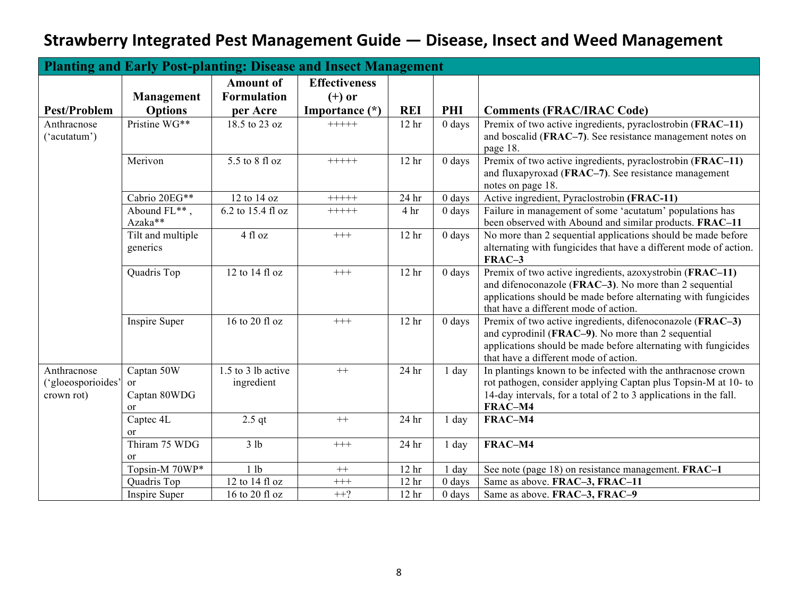|                                                | <b>Planting and Early Post-planting: Disease and Insect Management</b> |                                  |                      |                  |          |                                                                                                                                                                                                                               |  |  |  |  |
|------------------------------------------------|------------------------------------------------------------------------|----------------------------------|----------------------|------------------|----------|-------------------------------------------------------------------------------------------------------------------------------------------------------------------------------------------------------------------------------|--|--|--|--|
|                                                |                                                                        | <b>Amount of</b>                 | <b>Effectiveness</b> |                  |          |                                                                                                                                                                                                                               |  |  |  |  |
|                                                | Management                                                             | <b>Formulation</b>               | $(+)$ or             |                  |          |                                                                                                                                                                                                                               |  |  |  |  |
| <b>Pest/Problem</b>                            | <b>Options</b>                                                         | per Acre                         | Importance (*)       | <b>REI</b>       | PHI      | <b>Comments (FRAC/IRAC Code)</b>                                                                                                                                                                                              |  |  |  |  |
| Anthracnose<br>"acutatum")                     | Pristine WG**                                                          | 18.5 to 23 oz                    | $+++++$              | 12 <sub>hr</sub> | $0$ days | Premix of two active ingredients, pyraclostrobin (FRAC-11)<br>and boscalid (FRAC-7). See resistance management notes on<br>page 18.                                                                                           |  |  |  |  |
|                                                | Merivon                                                                | 5.5 to 8 fl oz                   | $+++++$              | 12 <sub>hr</sub> | $0$ days | Premix of two active ingredients, pyraclostrobin (FRAC-11)<br>and fluxapyroxad (FRAC-7). See resistance management<br>notes on page 18.                                                                                       |  |  |  |  |
|                                                | Cabrio 20EG**                                                          | 12 to 14 oz                      | $+++++$              | 24 hr            | $0$ days | Active ingredient, Pyraclostrobin (FRAC-11)                                                                                                                                                                                   |  |  |  |  |
|                                                | Abound FL**,<br>Azaka**                                                | 6.2 to 15.4 fl oz                | $+++++$              | 4 hr             | $0$ days | Failure in management of some 'acutatum' populations has<br>been observed with Abound and similar products. FRAC-11                                                                                                           |  |  |  |  |
|                                                | Tilt and multiple<br>generics                                          | 4 fl oz                          | $^{+++}$             | 12 <sub>hr</sub> | $0$ days | No more than 2 sequential applications should be made before<br>alternating with fungicides that have a different mode of action.<br>FRAC-3                                                                                   |  |  |  |  |
|                                                | Quadris Top                                                            | 12 to 14 fl oz                   | $^{+++}$             | 12 <sub>hr</sub> | $0$ days | Premix of two active ingredients, azoxystrobin (FRAC-11)<br>and difenoconazole (FRAC-3). No more than 2 sequential<br>applications should be made before alternating with fungicides<br>that have a different mode of action. |  |  |  |  |
|                                                | Inspire Super                                                          | $16$ to $20$ fl oz               | $^{+++}$             | 12 <sub>hr</sub> | $0$ days | Premix of two active ingredients, difenoconazole (FRAC-3)<br>and cyprodinil (FRAC-9). No more than 2 sequential<br>applications should be made before alternating with fungicides<br>that have a different mode of action.    |  |  |  |  |
| Anthracnose<br>"gloeosporioides"<br>crown rot) | Captan 50W<br>or<br>Captan 80WDG<br>or                                 | 1.5 to 3 lb active<br>ingredient | $++$                 | 24 hr            | 1 day    | In plantings known to be infected with the anthracnose crown<br>rot pathogen, consider applying Captan plus Topsin-M at 10- to<br>14-day intervals, for a total of 2 to 3 applications in the fall.<br>FRAC-M4                |  |  |  |  |
|                                                | Captec 4L<br><sub>or</sub>                                             | $2.5$ qt                         | $^{++}$              | 24 hr            | 1 day    | FRAC-M4                                                                                                                                                                                                                       |  |  |  |  |
|                                                | Thiram 75 WDG<br><sub>or</sub>                                         | 3 lb                             | $+++$                | 24 hr            | 1 day    | FRAC-M4                                                                                                                                                                                                                       |  |  |  |  |
|                                                | Topsin-M 70WP*                                                         | 1 lb                             | $^{++}\,$            | 12 <sub>hr</sub> | day      | See note (page 18) on resistance management. FRAC-1                                                                                                                                                                           |  |  |  |  |
|                                                | Quadris Top                                                            | 12 to 14 fl oz                   | $^{+++}$             | 12 <sub>hr</sub> | $0$ days | Same as above. FRAC-3, FRAC-11                                                                                                                                                                                                |  |  |  |  |
|                                                | Inspire Super                                                          | 16 to 20 fl oz                   | $++?$                | 12 <sub>hr</sub> | $0$ days | Same as above. FRAC-3, FRAC-9                                                                                                                                                                                                 |  |  |  |  |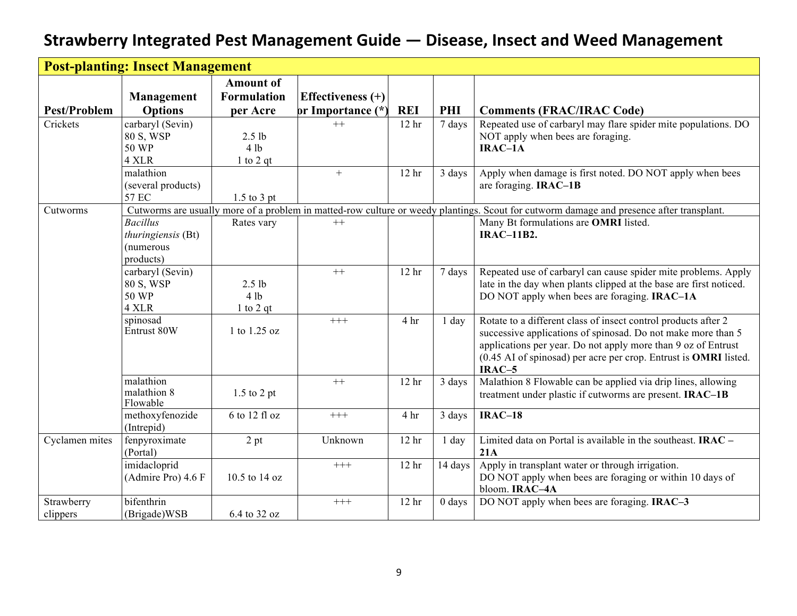|                        | <b>Post-planting: Insect Management</b>                         |                                                    |                                          |                  |          |                                                                                                                                                                                                                                                                                 |  |  |
|------------------------|-----------------------------------------------------------------|----------------------------------------------------|------------------------------------------|------------------|----------|---------------------------------------------------------------------------------------------------------------------------------------------------------------------------------------------------------------------------------------------------------------------------------|--|--|
| <b>Pest/Problem</b>    | Management<br><b>Options</b>                                    | <b>Amount of</b><br><b>Formulation</b><br>per Acre | Effectiveness $(+)$<br>or Importance (*) | <b>REI</b>       | PHI      | <b>Comments (FRAC/IRAC Code)</b>                                                                                                                                                                                                                                                |  |  |
| Crickets               | carbaryl (Sevin)<br>80 S, WSP<br>50 WP<br>4 XLR                 | 2.5 <sub>lb</sub><br>4 lb<br>1 to 2 $qt$           | $++$                                     | 12 <sub>hr</sub> | 7 days   | Repeated use of carbaryl may flare spider mite populations. DO<br>NOT apply when bees are foraging.<br>$IRAC-1A$                                                                                                                                                                |  |  |
|                        | malathion<br>(several products)<br>57 EC                        | $1.5$ to 3 pt                                      | $+$                                      | 12 <sub>hr</sub> | 3 days   | Apply when damage is first noted. DO NOT apply when bees<br>are foraging. IRAC-1B                                                                                                                                                                                               |  |  |
| Cutworms               | <b>Bacillus</b><br>thuringiensis (Bt)<br>(numerous<br>products) | Rates vary                                         | $++$                                     |                  |          | Cutworms are usually more of a problem in matted-row culture or weedy plantings. Scout for cutworm damage and presence after transplant.<br>Many Bt formulations are OMRI listed.<br><b>IRAC-11B2.</b>                                                                          |  |  |
|                        | carbaryl (Sevin)<br>80 S, WSP<br>50 WP<br>4 XLR                 | $2.5$ lb<br>4 lb<br>$1$ to $2$ qt                  | $^{++}$                                  | 12 <sub>hr</sub> | 7 days   | Repeated use of carbaryl can cause spider mite problems. Apply<br>late in the day when plants clipped at the base are first noticed.<br>DO NOT apply when bees are foraging. <b>IRAC-1A</b>                                                                                     |  |  |
|                        | spinosad<br>Entrust 80W                                         | 1 to 1.25 oz                                       | $+++$                                    | 4 hr             | $1$ day  | Rotate to a different class of insect control products after 2<br>successive applications of spinosad. Do not make more than 5<br>applications per year. Do not apply more than 9 oz of Entrust<br>(0.45 AI of spinosad) per acre per crop. Entrust is OMRI listed.<br>$IRAC-5$ |  |  |
|                        | malathion<br>malathion 8<br>Flowable                            | $1.5$ to 2 pt                                      | $++$                                     | 12 <sub>hr</sub> | 3 days   | Malathion 8 Flowable can be applied via drip lines, allowing<br>treatment under plastic if cutworms are present. IRAC-1B                                                                                                                                                        |  |  |
|                        | methoxyfenozide<br>(Intrepid)                                   | 6 to 12 fl oz                                      | $^{+++}$                                 | 4 hr             | 3 days   | $IRAC-18$                                                                                                                                                                                                                                                                       |  |  |
| Cyclamen mites         | fenpyroximate<br>(Portal)                                       | 2 pt                                               | Unknown                                  | 12 <sub>hr</sub> | $1$ day  | Limited data on Portal is available in the southeast. $IRAC -$<br>21A                                                                                                                                                                                                           |  |  |
|                        | imidacloprid<br>(Admire Pro) 4.6 F                              | 10.5 to 14 oz                                      | $+++$                                    | 12 <sub>hr</sub> | 14 days  | Apply in transplant water or through irrigation.<br>DO NOT apply when bees are foraging or within 10 days of<br>bloom. IRAC-4A                                                                                                                                                  |  |  |
| Strawberry<br>clippers | bifenthrin<br>(Brigade)WSB                                      | 6.4 to 32 oz                                       | $^{+++}$                                 | 12 <sub>hr</sub> | $0$ days | DO NOT apply when bees are foraging. IRAC-3                                                                                                                                                                                                                                     |  |  |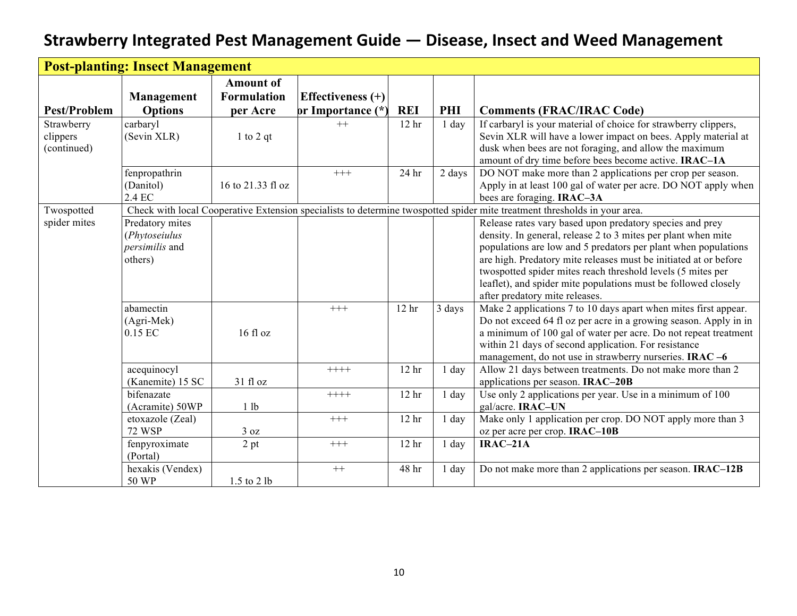|                     | <b>Post-planting: Insect Management</b> |                    |                     |                  |         |                                                                                                                           |
|---------------------|-----------------------------------------|--------------------|---------------------|------------------|---------|---------------------------------------------------------------------------------------------------------------------------|
|                     |                                         | <b>Amount of</b>   |                     |                  |         |                                                                                                                           |
|                     | <b>Management</b>                       | <b>Formulation</b> | Effectiveness $(+)$ |                  |         |                                                                                                                           |
| <b>Pest/Problem</b> | <b>Options</b>                          | per Acre           | or Importance (*)   | <b>REI</b>       | PHI     | <b>Comments (FRAC/IRAC Code)</b>                                                                                          |
| Strawberry          | carbaryl                                |                    | $^{++}$             | 12 <sub>hr</sub> | $1$ day | If carbaryl is your material of choice for strawberry clippers,                                                           |
| clippers            | (Sevin XLR)                             | $1$ to $2$ qt      |                     |                  |         | Sevin XLR will have a lower impact on bees. Apply material at                                                             |
| (continued)         |                                         |                    |                     |                  |         | dusk when bees are not foraging, and allow the maximum                                                                    |
|                     |                                         |                    |                     |                  |         | amount of dry time before bees become active. IRAC-1A                                                                     |
|                     | fenpropathrin                           |                    | $+++$               | 24 hr            | 2 days  | DO NOT make more than 2 applications per crop per season.                                                                 |
|                     | (Danitol)                               | 16 to 21.33 fl oz  |                     |                  |         | Apply in at least 100 gal of water per acre. DO NOT apply when                                                            |
|                     | 2.4 EC                                  |                    |                     |                  |         | bees are foraging. IRAC-3A                                                                                                |
| Twospotted          |                                         |                    |                     |                  |         | Check with local Cooperative Extension specialists to determine twospotted spider mite treatment thresholds in your area. |
| spider mites        | Predatory mites                         |                    |                     |                  |         | Release rates vary based upon predatory species and prey                                                                  |
|                     | (Phytoseiulus                           |                    |                     |                  |         | density. In general, release 2 to 3 mites per plant when mite                                                             |
|                     | <i>persimilis</i> and                   |                    |                     |                  |         | populations are low and 5 predators per plant when populations                                                            |
|                     | others)                                 |                    |                     |                  |         | are high. Predatory mite releases must be initiated at or before                                                          |
|                     |                                         |                    |                     |                  |         | twospotted spider mites reach threshold levels (5 mites per                                                               |
|                     |                                         |                    |                     |                  |         | leaflet), and spider mite populations must be followed closely                                                            |
|                     |                                         |                    |                     |                  |         | after predatory mite releases.                                                                                            |
|                     | abamectin                               |                    | $^{+++}$            | 12 <sub>hr</sub> | 3 days  | Make 2 applications 7 to 10 days apart when mites first appear.                                                           |
|                     | (Agri-Mek)                              |                    |                     |                  |         | Do not exceed 64 fl oz per acre in a growing season. Apply in in                                                          |
|                     | 0.15 EC                                 | $16f$ l oz         |                     |                  |         | a minimum of 100 gal of water per acre. Do not repeat treatment                                                           |
|                     |                                         |                    |                     |                  |         | within 21 days of second application. For resistance                                                                      |
|                     |                                         |                    |                     |                  |         | management, do not use in strawberry nurseries. IRAC-6                                                                    |
|                     | acequinocyl                             |                    | $++++$              | 12 <sub>hr</sub> | $1$ day | Allow 21 days between treatments. Do not make more than 2                                                                 |
|                     | (Kanemite) 15 SC                        | 31 fl oz           |                     |                  |         | applications per season. IRAC-20B                                                                                         |
|                     | bifenazate                              |                    | $+++++$             | 12 <sub>hr</sub> | $1$ day | Use only 2 applications per year. Use in a minimum of 100                                                                 |
|                     | (Acramite) 50WP                         | 1 lb               |                     |                  |         | gal/acre. IRAC-UN                                                                                                         |
|                     | etoxazole (Zeal)                        |                    | $^{+++}$            | 12 <sub>hr</sub> | $1$ day | Make only 1 application per crop. DO NOT apply more than 3                                                                |
|                     | <b>72 WSP</b>                           | 3 oz               |                     |                  |         | oz per acre per crop. IRAC-10B                                                                                            |
|                     | fenpyroximate                           | 2 pt               | $^{+++}$            | 12 <sub>hr</sub> | $1$ day | $IRAC-21A$                                                                                                                |
|                     | (Portal)                                |                    |                     |                  |         |                                                                                                                           |
|                     | hexakis (Vendex)                        |                    | $^{++}$             | 48 hr            | 1 day   | Do not make more than 2 applications per season. <b>IRAC-12B</b>                                                          |
|                     | 50 WP                                   | 1.5 to 2 lb        |                     |                  |         |                                                                                                                           |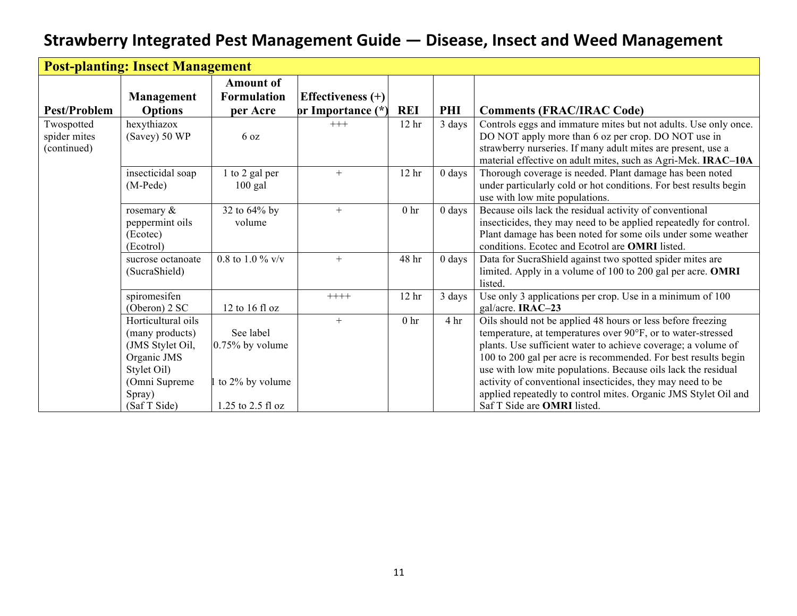| <b>Post-planting: Insect Management</b>   |                                                                                                                                    |                                                                         |                     |                  |                  |                                                                                                                                                                                                                                                                                                                                                                                                                                                                                                        |  |  |
|-------------------------------------------|------------------------------------------------------------------------------------------------------------------------------------|-------------------------------------------------------------------------|---------------------|------------------|------------------|--------------------------------------------------------------------------------------------------------------------------------------------------------------------------------------------------------------------------------------------------------------------------------------------------------------------------------------------------------------------------------------------------------------------------------------------------------------------------------------------------------|--|--|
|                                           | Management                                                                                                                         | <b>Amount of</b><br><b>Formulation</b>                                  | Effectiveness $(+)$ |                  |                  |                                                                                                                                                                                                                                                                                                                                                                                                                                                                                                        |  |  |
| <b>Pest/Problem</b>                       | <b>Options</b>                                                                                                                     | per Acre                                                                | or Importance (*)   | <b>REI</b>       | PHI              | <b>Comments (FRAC/IRAC Code)</b>                                                                                                                                                                                                                                                                                                                                                                                                                                                                       |  |  |
| Twospotted<br>spider mites<br>(continued) | hexythiazox<br>(Savey) 50 WP                                                                                                       | 6 oz                                                                    | $+++$               | 12 <sub>hr</sub> | 3 days           | Controls eggs and immature mites but not adults. Use only once.<br>DO NOT apply more than 6 oz per crop. DO NOT use in<br>strawberry nurseries. If many adult mites are present, use a<br>material effective on adult mites, such as Agri-Mek. IRAC-10A                                                                                                                                                                                                                                                |  |  |
|                                           | insecticidal soap<br>$(M-Pede)$                                                                                                    | 1 to 2 gal per<br>$100$ gal                                             | $+$                 | 12 <sub>hr</sub> | $0$ days         | Thorough coverage is needed. Plant damage has been noted<br>under particularly cold or hot conditions. For best results begin<br>use with low mite populations.                                                                                                                                                                                                                                                                                                                                        |  |  |
|                                           | rosemary $\&$<br>peppermint oils<br>(Ecotec)<br>(Ecotrol)                                                                          | 32 to 64% by<br>volume                                                  | $+$                 | 0 <sub>hr</sub>  | $0 \text{ days}$ | Because oils lack the residual activity of conventional<br>insecticides, they may need to be applied repeatedly for control.<br>Plant damage has been noted for some oils under some weather<br>conditions. Ecotec and Ecotrol are <b>OMRI</b> listed.                                                                                                                                                                                                                                                 |  |  |
|                                           | sucrose octanoate<br>(SucraShield)                                                                                                 | 0.8 to 1.0 % $v/v$                                                      | $+$                 | 48 hr            | $0 \text{ days}$ | Data for SucraShield against two spotted spider mites are<br>limited. Apply in a volume of 100 to 200 gal per acre. OMRI<br>listed.                                                                                                                                                                                                                                                                                                                                                                    |  |  |
|                                           | spiromesifen<br>(Oberon) $2 SC$                                                                                                    | 12 to 16 fl oz                                                          | $+++++$             | 12 <sub>hr</sub> | 3 days           | Use only 3 applications per crop. Use in a minimum of 100<br>gal/acre. IRAC-23                                                                                                                                                                                                                                                                                                                                                                                                                         |  |  |
|                                           | Horticultural oils<br>(many products)<br>(JMS Stylet Oil,<br>Organic JMS<br>Stylet Oil)<br>(Omni Supreme<br>Spray)<br>(Saf T Side) | See label<br>$0.75\%$ by volume<br>to 2% by volume<br>1.25 to 2.5 fl oz | $+$                 | 0 <sub>hr</sub>  | 4 <sup>hr</sup>  | Oils should not be applied 48 hours or less before freezing<br>temperature, at temperatures over 90°F, or to water-stressed<br>plants. Use sufficient water to achieve coverage; a volume of<br>100 to 200 gal per acre is recommended. For best results begin<br>use with low mite populations. Because oils lack the residual<br>activity of conventional insecticides, they may need to be<br>applied repeatedly to control mites. Organic JMS Stylet Oil and<br>Saf T Side are <b>OMRI</b> listed. |  |  |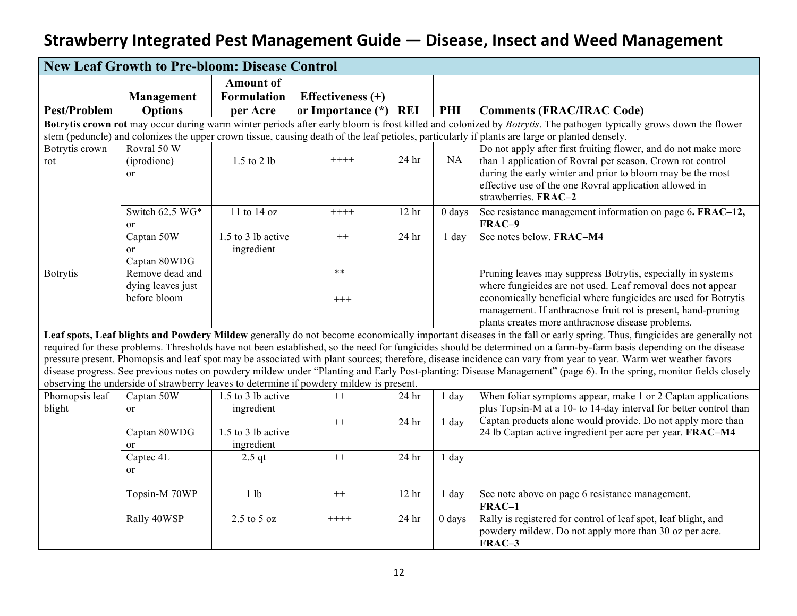|                       | <b>New Leaf Growth to Pre-bloom: Disease Control</b>                                                                                                              |                    |                                                                                         |                  |          |                                                                                                                                                                     |  |  |  |
|-----------------------|-------------------------------------------------------------------------------------------------------------------------------------------------------------------|--------------------|-----------------------------------------------------------------------------------------|------------------|----------|---------------------------------------------------------------------------------------------------------------------------------------------------------------------|--|--|--|
|                       |                                                                                                                                                                   | <b>Amount of</b>   |                                                                                         |                  |          |                                                                                                                                                                     |  |  |  |
|                       | Management                                                                                                                                                        | <b>Formulation</b> | <b>Effectiveness</b> (+)                                                                |                  |          |                                                                                                                                                                     |  |  |  |
| <b>Pest/Problem</b>   | <b>Options</b>                                                                                                                                                    | per Acre           | or Importance $(*)$                                                                     | <b>REI</b>       | PHI      | <b>Comments (FRAC/IRAC Code)</b>                                                                                                                                    |  |  |  |
|                       | Botrytis crown rot may occur during warm winter periods after early bloom is frost killed and colonized by Botrytis. The pathogen typically grows down the flower |                    |                                                                                         |                  |          |                                                                                                                                                                     |  |  |  |
|                       |                                                                                                                                                                   |                    |                                                                                         |                  |          | stem (peduncle) and colonizes the upper crown tissue, causing death of the leaf petioles, particularly if plants are large or planted densely.                      |  |  |  |
| Botrytis crown<br>rot | Rovral 50 W<br>(iprodione)                                                                                                                                        | 1.5 to 2 lb        | $++++$                                                                                  | 24 hr            | NA       | Do not apply after first fruiting flower, and do not make more<br>than 1 application of Rovral per season. Crown rot control                                        |  |  |  |
|                       | or                                                                                                                                                                |                    |                                                                                         |                  |          | during the early winter and prior to bloom may be the most                                                                                                          |  |  |  |
|                       |                                                                                                                                                                   |                    |                                                                                         |                  |          | effective use of the one Rovral application allowed in                                                                                                              |  |  |  |
|                       |                                                                                                                                                                   |                    |                                                                                         |                  |          | strawberries. FRAC-2                                                                                                                                                |  |  |  |
|                       | Switch 62.5 WG*<br><sub>or</sub>                                                                                                                                  | 11 to 14 oz        | $++++$                                                                                  | 12 <sub>hr</sub> | $0$ days | See resistance management information on page 6. FRAC-12,<br>FRAC-9                                                                                                 |  |  |  |
|                       | Captan 50W                                                                                                                                                        | 1.5 to 3 lb active | $++$                                                                                    | 24 hr            | 1 day    | See notes below. FRAC-M4                                                                                                                                            |  |  |  |
|                       | <sub>or</sub>                                                                                                                                                     | ingredient         |                                                                                         |                  |          |                                                                                                                                                                     |  |  |  |
|                       | Captan 80WDG                                                                                                                                                      |                    | $***$                                                                                   |                  |          |                                                                                                                                                                     |  |  |  |
| <b>Botrytis</b>       | Remove dead and                                                                                                                                                   |                    |                                                                                         |                  |          | Pruning leaves may suppress Botrytis, especially in systems                                                                                                         |  |  |  |
|                       | dying leaves just<br>before bloom                                                                                                                                 |                    |                                                                                         |                  |          | where fungicides are not used. Leaf removal does not appear<br>economically beneficial where fungicides are used for Botrytis                                       |  |  |  |
|                       |                                                                                                                                                                   |                    | $+++$                                                                                   |                  |          | management. If anthracnose fruit rot is present, hand-pruning                                                                                                       |  |  |  |
|                       |                                                                                                                                                                   |                    |                                                                                         |                  |          | plants creates more anthracnose disease problems.                                                                                                                   |  |  |  |
|                       |                                                                                                                                                                   |                    |                                                                                         |                  |          | Leaf spots, Leaf blights and Powdery Mildew generally do not become economically important diseases in the fall or early spring. Thus, fungicides are generally not |  |  |  |
|                       |                                                                                                                                                                   |                    |                                                                                         |                  |          | required for these problems. Thresholds have not been established, so the need for fungicides should be determined on a farm-by-farm basis depending on the disease |  |  |  |
|                       |                                                                                                                                                                   |                    |                                                                                         |                  |          | pressure present. Phomopsis and leaf spot may be associated with plant sources; therefore, disease incidence can vary from year to year. Warm wet weather favors    |  |  |  |
|                       |                                                                                                                                                                   |                    |                                                                                         |                  |          | disease progress. See previous notes on powdery mildew under "Planting and Early Post-planting: Disease Management" (page 6). In the spring, monitor fields closely |  |  |  |
|                       |                                                                                                                                                                   |                    | observing the underside of strawberry leaves to determine if powdery mildew is present. |                  |          |                                                                                                                                                                     |  |  |  |
| Phomopsis leaf        | Captan 50W                                                                                                                                                        | 1.5 to 3 lb active | $^{++}$                                                                                 | 24 hr            | 1 day    | When foliar symptoms appear, make 1 or 2 Captan applications                                                                                                        |  |  |  |
| blight                | $\alpha$                                                                                                                                                          | ingredient         |                                                                                         |                  |          | plus Topsin-M at a 10- to 14-day interval for better control than                                                                                                   |  |  |  |
|                       | Captan 80WDG                                                                                                                                                      | 1.5 to 3 lb active | $++$                                                                                    | 24 <sub>hr</sub> | 1 day    | Captan products alone would provide. Do not apply more than<br>24 lb Captan active ingredient per acre per year. FRAC-M4                                            |  |  |  |
|                       | <sub>or</sub>                                                                                                                                                     | ingredient         |                                                                                         |                  |          |                                                                                                                                                                     |  |  |  |
|                       | Captec 4L                                                                                                                                                         | $2.5$ qt           | $++$                                                                                    | 24 <sub>hr</sub> | 1 day    |                                                                                                                                                                     |  |  |  |
|                       | <sub>or</sub>                                                                                                                                                     |                    |                                                                                         |                  |          |                                                                                                                                                                     |  |  |  |
|                       |                                                                                                                                                                   |                    |                                                                                         |                  |          |                                                                                                                                                                     |  |  |  |
|                       | Topsin-M 70WP                                                                                                                                                     | 1 lb               | $++$                                                                                    | 12 <sub>hr</sub> | 1 day    | See note above on page 6 resistance management.<br>FRAC-1                                                                                                           |  |  |  |
|                       | Rally 40WSP                                                                                                                                                       | $2.5$ to $5$ oz    | $+++++$                                                                                 | 24 hr            | $0$ days | Rally is registered for control of leaf spot, leaf blight, and                                                                                                      |  |  |  |
|                       |                                                                                                                                                                   |                    |                                                                                         |                  |          | powdery mildew. Do not apply more than 30 oz per acre.                                                                                                              |  |  |  |
|                       |                                                                                                                                                                   |                    |                                                                                         |                  |          | FRAC-3                                                                                                                                                              |  |  |  |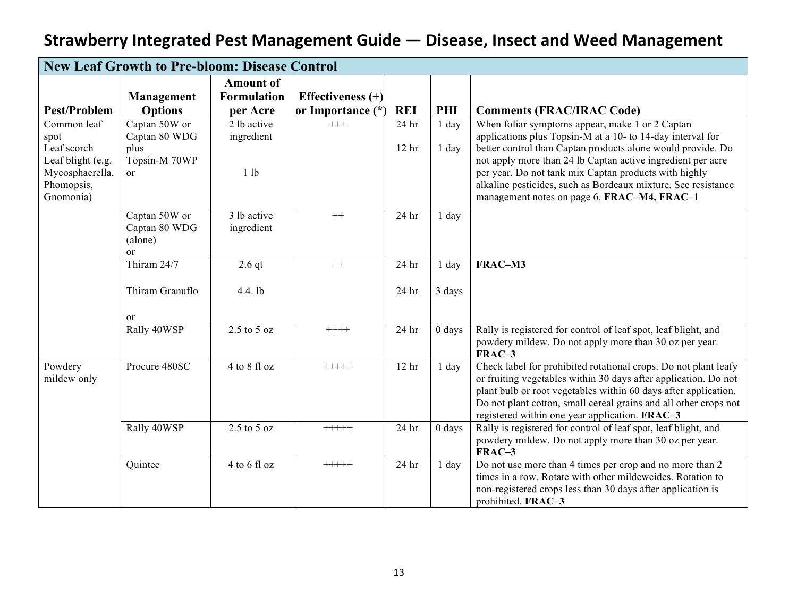|                                                                                                       | <b>New Leaf Growth to Pre-bloom: Disease Control</b>                |                                               |                                          |                                      |                    |                                                                                                                                                                                                                                                                                                                                                                                                                      |  |  |  |  |
|-------------------------------------------------------------------------------------------------------|---------------------------------------------------------------------|-----------------------------------------------|------------------------------------------|--------------------------------------|--------------------|----------------------------------------------------------------------------------------------------------------------------------------------------------------------------------------------------------------------------------------------------------------------------------------------------------------------------------------------------------------------------------------------------------------------|--|--|--|--|
| <b>Pest/Problem</b>                                                                                   | Management<br><b>Options</b>                                        | <b>Amount of</b><br><b>Formulation</b>        | Effectiveness $(+)$<br>or Importance (*) | <b>REI</b>                           | PHI                | <b>Comments (FRAC/IRAC Code)</b>                                                                                                                                                                                                                                                                                                                                                                                     |  |  |  |  |
| Common leaf<br>spot<br>Leaf scorch<br>Leaf blight (e.g.<br>Mycosphaerella,<br>Phomopsis,<br>Gnomonia) | Captan 50W or<br>Captan 80 WDG<br>plus<br>Topsin-M 70WP<br>$\alpha$ | per Acre<br>2 lb active<br>ingredient<br>1 lb | $+++$                                    | 24 <sub>hr</sub><br>12 <sub>hr</sub> | $1$ day<br>$1$ day | When foliar symptoms appear, make 1 or 2 Captan<br>applications plus Topsin-M at a 10- to 14-day interval for<br>better control than Captan products alone would provide. Do<br>not apply more than 24 lb Captan active ingredient per acre<br>per year. Do not tank mix Captan products with highly<br>alkaline pesticides, such as Bordeaux mixture. See resistance<br>management notes on page 6. FRAC-M4, FRAC-1 |  |  |  |  |
|                                                                                                       | Captan 50W or<br>Captan 80 WDG<br>(alone)<br><sub>or</sub>          | 3 lb active<br>ingredient                     | $++$                                     | 24 hr                                | 1 day              |                                                                                                                                                                                                                                                                                                                                                                                                                      |  |  |  |  |
|                                                                                                       | Thiram 24/7                                                         | $2.6$ qt                                      | $^{++}$                                  | 24 hr                                | $1$ day            | FRAC-M3                                                                                                                                                                                                                                                                                                                                                                                                              |  |  |  |  |
|                                                                                                       | Thiram Granuflo                                                     | 4.4. lb                                       |                                          | 24 hr                                | 3 days             |                                                                                                                                                                                                                                                                                                                                                                                                                      |  |  |  |  |
|                                                                                                       | or<br>Rally 40WSP                                                   | $2.5$ to $5$ oz                               | $++++-$                                  | 24 hr                                | $0$ days           | Rally is registered for control of leaf spot, leaf blight, and<br>powdery mildew. Do not apply more than 30 oz per year.<br>FRAC-3                                                                                                                                                                                                                                                                                   |  |  |  |  |
| Powdery<br>mildew only                                                                                | Procure 480SC                                                       | 4 to 8 fl oz                                  | $+++++$                                  | 12 <sub>hr</sub>                     | $1$ day            | Check label for prohibited rotational crops. Do not plant leafy<br>or fruiting vegetables within 30 days after application. Do not<br>plant bulb or root vegetables within 60 days after application.<br>Do not plant cotton, small cereal grains and all other crops not<br>registered within one year application. FRAC-3                                                                                          |  |  |  |  |
|                                                                                                       | Rally 40WSP                                                         | $2.5$ to $5$ oz                               | $+++++$                                  | 24 hr                                | $0$ days           | Rally is registered for control of leaf spot, leaf blight, and<br>powdery mildew. Do not apply more than 30 oz per year.<br>FRAC-3                                                                                                                                                                                                                                                                                   |  |  |  |  |
|                                                                                                       | Quintec                                                             | 4 to 6 fl oz                                  | $+++++$                                  | 24 hr                                | 1 day              | Do not use more than 4 times per crop and no more than 2<br>times in a row. Rotate with other mildewcides. Rotation to<br>non-registered crops less than 30 days after application is<br>prohibited. FRAC-3                                                                                                                                                                                                          |  |  |  |  |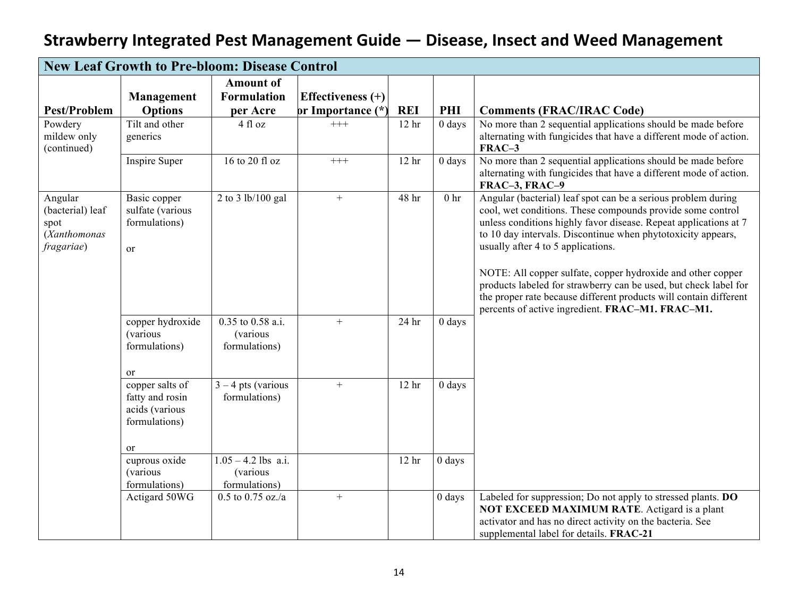|                                                                   | <b>New Leaf Growth to Pre-bloom: Disease Control</b>                        |                                                       |                     |                  |                 |                                                                                                                                                                                                                                                                                                                                                                                                                                                                                                                                                                   |  |  |  |
|-------------------------------------------------------------------|-----------------------------------------------------------------------------|-------------------------------------------------------|---------------------|------------------|-----------------|-------------------------------------------------------------------------------------------------------------------------------------------------------------------------------------------------------------------------------------------------------------------------------------------------------------------------------------------------------------------------------------------------------------------------------------------------------------------------------------------------------------------------------------------------------------------|--|--|--|
|                                                                   |                                                                             | <b>Amount of</b>                                      |                     |                  |                 |                                                                                                                                                                                                                                                                                                                                                                                                                                                                                                                                                                   |  |  |  |
|                                                                   | Management                                                                  | <b>Formulation</b>                                    | Effectiveness $(+)$ |                  |                 |                                                                                                                                                                                                                                                                                                                                                                                                                                                                                                                                                                   |  |  |  |
| <b>Pest/Problem</b>                                               | <b>Options</b>                                                              | per Acre                                              | or Importance (*)   | <b>REI</b>       | PHI             | <b>Comments (FRAC/IRAC Code)</b>                                                                                                                                                                                                                                                                                                                                                                                                                                                                                                                                  |  |  |  |
| Powdery                                                           | Tilt and other                                                              | 4 fl oz                                               | $+++$               | 12 <sup>hr</sup> | $0$ days        | No more than 2 sequential applications should be made before                                                                                                                                                                                                                                                                                                                                                                                                                                                                                                      |  |  |  |
| mildew only<br>(continued)                                        | generics                                                                    |                                                       |                     |                  |                 | alternating with fungicides that have a different mode of action.<br>FRAC-3                                                                                                                                                                                                                                                                                                                                                                                                                                                                                       |  |  |  |
|                                                                   | Inspire Super                                                               | 16 to 20 fl oz                                        | $+++$               | 12 <sub>hr</sub> | $0$ days        | No more than 2 sequential applications should be made before<br>alternating with fungicides that have a different mode of action.<br>FRAC-3, FRAC-9                                                                                                                                                                                                                                                                                                                                                                                                               |  |  |  |
| Angular<br>(bacterial) leaf<br>spot<br>(Xanthomonas<br>fragariae) | Basic copper<br>sulfate (various<br>formulations)<br>or                     | 2 to 3 lb/100 gal                                     | $+$                 | 48 hr            | 0 <sub>hr</sub> | Angular (bacterial) leaf spot can be a serious problem during<br>cool, wet conditions. These compounds provide some control<br>unless conditions highly favor disease. Repeat applications at 7<br>to 10 day intervals. Discontinue when phytotoxicity appears,<br>usually after 4 to 5 applications.<br>NOTE: All copper sulfate, copper hydroxide and other copper<br>products labeled for strawberry can be used, but check label for<br>the proper rate because different products will contain different<br>percents of active ingredient. FRAC-M1. FRAC-M1. |  |  |  |
|                                                                   | copper hydroxide<br><i>(various</i><br>formulations)<br>or                  | 0.35 to 0.58 a.i.<br><i>(various</i><br>formulations) | $+$                 | 24 hr            | $0$ days        |                                                                                                                                                                                                                                                                                                                                                                                                                                                                                                                                                                   |  |  |  |
|                                                                   | copper salts of<br>fatty and rosin<br>acids (various<br>formulations)<br>or | $3 - 4$ pts (various<br>formulations)                 | $+$                 | 12 <sub>hr</sub> | 0 days          |                                                                                                                                                                                                                                                                                                                                                                                                                                                                                                                                                                   |  |  |  |
|                                                                   | cuprous oxide                                                               | $1.05 - 4.2$ lbs a.i.                                 |                     | 12 <sub>hr</sub> | 0 days          |                                                                                                                                                                                                                                                                                                                                                                                                                                                                                                                                                                   |  |  |  |
|                                                                   | <i>(various</i>                                                             | (various                                              |                     |                  |                 |                                                                                                                                                                                                                                                                                                                                                                                                                                                                                                                                                                   |  |  |  |
|                                                                   | formulations)                                                               | formulations)                                         |                     |                  |                 |                                                                                                                                                                                                                                                                                                                                                                                                                                                                                                                                                                   |  |  |  |
|                                                                   | Actigard 50WG                                                               | $0.5$ to $0.75$ oz./a                                 | $\boldsymbol{+}$    |                  | 0 days          | Labeled for suppression; Do not apply to stressed plants. DO<br><b>NOT EXCEED MAXIMUM RATE.</b> Actigard is a plant<br>activator and has no direct activity on the bacteria. See<br>supplemental label for details. FRAC-21                                                                                                                                                                                                                                                                                                                                       |  |  |  |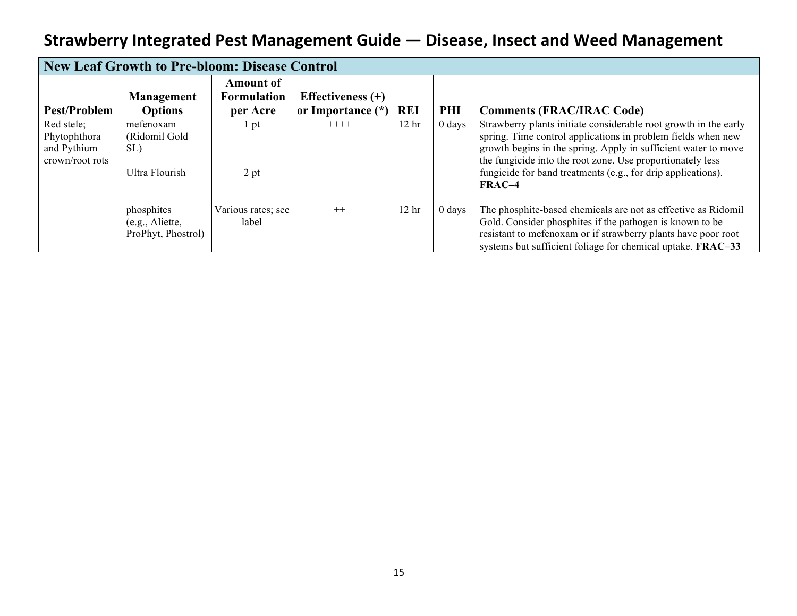|                 | <b>New Leaf Growth to Pre-bloom: Disease Control</b> |                    |                     |                  |                  |                                                                  |  |  |  |  |
|-----------------|------------------------------------------------------|--------------------|---------------------|------------------|------------------|------------------------------------------------------------------|--|--|--|--|
|                 |                                                      | <b>Amount of</b>   |                     |                  |                  |                                                                  |  |  |  |  |
|                 | <b>Management</b>                                    | <b>Formulation</b> | Effectiveness $(+)$ |                  |                  |                                                                  |  |  |  |  |
| Pest/Problem    | <b>Options</b>                                       | per Acre           | or Importance (*)   | <b>REI</b>       | <b>PHI</b>       | <b>Comments (FRAC/IRAC Code)</b>                                 |  |  |  |  |
| Red stele;      | mefenoxam                                            | l pt               | $++++-$             | 12 <sub>hr</sub> | $0 \text{ days}$ | Strawberry plants initiate considerable root growth in the early |  |  |  |  |
| Phytophthora    | (Ridomil Gold                                        |                    |                     |                  |                  | spring. Time control applications in problem fields when new     |  |  |  |  |
| and Pythium     | SL)                                                  |                    |                     |                  |                  | growth begins in the spring. Apply in sufficient water to move   |  |  |  |  |
| crown/root rots |                                                      |                    |                     |                  |                  | the fungicide into the root zone. Use proportionately less       |  |  |  |  |
|                 | Ultra Flourish                                       | 2 pt               |                     |                  |                  | fungicide for band treatments (e.g., for drip applications).     |  |  |  |  |
|                 |                                                      |                    |                     |                  |                  | $FRAC-4$                                                         |  |  |  |  |
|                 |                                                      |                    |                     |                  |                  |                                                                  |  |  |  |  |
|                 | phosphites                                           | Various rates; see | $++$                | 12 <sub>hr</sub> | $0$ days         | The phosphite-based chemicals are not as effective as Ridomil    |  |  |  |  |
|                 | (e.g., Aliette,                                      | label              |                     |                  |                  | Gold. Consider phosphites if the pathogen is known to be         |  |  |  |  |
|                 | ProPhyt, Phostrol)                                   |                    |                     |                  |                  | resistant to mefenoxam or if strawberry plants have poor root    |  |  |  |  |
|                 |                                                      |                    |                     |                  |                  | systems but sufficient foliage for chemical uptake. FRAC-33      |  |  |  |  |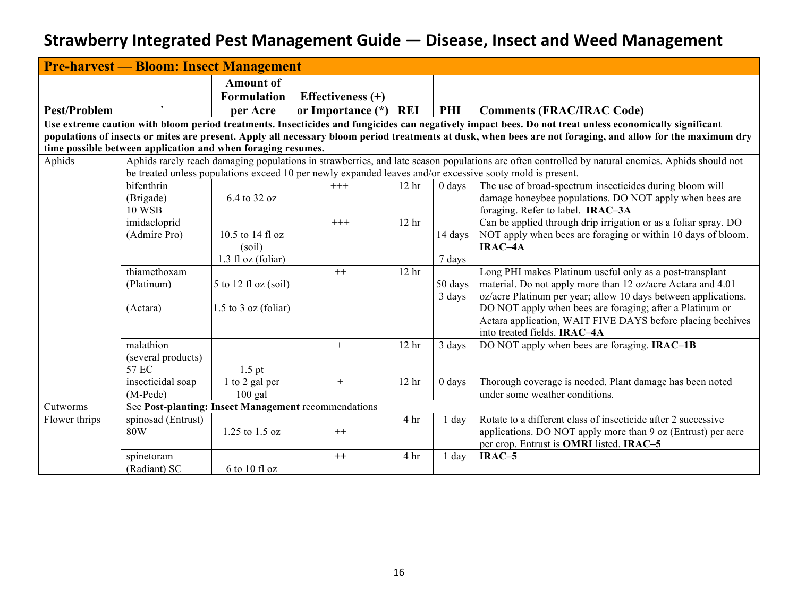|                     | <b>Pre-harvest — Bloom: Insect Management</b>                                                                                                               |                                                    |                                                      |                  |          |                                                                                                                                                        |  |  |  |  |  |  |
|---------------------|-------------------------------------------------------------------------------------------------------------------------------------------------------------|----------------------------------------------------|------------------------------------------------------|------------------|----------|--------------------------------------------------------------------------------------------------------------------------------------------------------|--|--|--|--|--|--|
| <b>Pest/Problem</b> |                                                                                                                                                             | <b>Amount of</b><br><b>Formulation</b><br>per Acre | <b>Effectiveness</b> (+)<br>or Importance (*)        | <b>REI</b>       | PHI      | <b>Comments (FRAC/IRAC Code)</b>                                                                                                                       |  |  |  |  |  |  |
|                     |                                                                                                                                                             |                                                    |                                                      |                  |          | Use extreme caution with bloom period treatments. Insecticides and fungicides can negatively impact bees. Do not treat unless economically significant |  |  |  |  |  |  |
|                     | populations of insects or mites are present. Apply all necessary bloom period treatments at dusk, when bees are not foraging, and allow for the maximum dry |                                                    |                                                      |                  |          |                                                                                                                                                        |  |  |  |  |  |  |
|                     | time possible between application and when foraging resumes.                                                                                                |                                                    |                                                      |                  |          |                                                                                                                                                        |  |  |  |  |  |  |
| Aphids              |                                                                                                                                                             |                                                    |                                                      |                  |          | Aphids rarely reach damaging populations in strawberries, and late season populations are often controlled by natural enemies. Aphids should not       |  |  |  |  |  |  |
|                     |                                                                                                                                                             |                                                    |                                                      |                  |          | be treated unless populations exceed 10 per newly expanded leaves and/or excessive sooty mold is present.                                              |  |  |  |  |  |  |
|                     | bifenthrin<br>(Brigade)                                                                                                                                     | 6.4 to 32 oz                                       | $^{+++}$                                             | 12 <sub>hr</sub> | $0$ days | The use of broad-spectrum insecticides during bloom will<br>damage honeybee populations. DO NOT apply when bees are                                    |  |  |  |  |  |  |
|                     | <b>10 WSB</b>                                                                                                                                               |                                                    |                                                      |                  |          | foraging. Refer to label. IRAC-3A                                                                                                                      |  |  |  |  |  |  |
|                     | imidacloprid                                                                                                                                                |                                                    | $+++$                                                | 12 <sup>hr</sup> |          | Can be applied through drip irrigation or as a foliar spray. DO                                                                                        |  |  |  |  |  |  |
|                     | (Admire Pro)                                                                                                                                                | 10.5 to 14 fl oz                                   |                                                      |                  | 14 days  | NOT apply when bees are foraging or within 10 days of bloom.                                                                                           |  |  |  |  |  |  |
|                     |                                                                                                                                                             | (soil)                                             |                                                      |                  |          | IRAC-4A                                                                                                                                                |  |  |  |  |  |  |
|                     |                                                                                                                                                             | $1.3$ fl oz (foliar)                               |                                                      |                  | 7 days   |                                                                                                                                                        |  |  |  |  |  |  |
|                     | thiamethoxam                                                                                                                                                |                                                    | $++$                                                 | 12 <sub>hr</sub> |          | Long PHI makes Platinum useful only as a post-transplant                                                                                               |  |  |  |  |  |  |
|                     | (Platinum)                                                                                                                                                  | $5$ to 12 fl oz (soil)                             |                                                      |                  | 50 days  | material. Do not apply more than 12 oz/acre Actara and 4.01                                                                                            |  |  |  |  |  |  |
|                     | (Actara)                                                                                                                                                    | $1.5$ to $3$ oz (foliar)                           |                                                      |                  | 3 days   | oz/acre Platinum per year; allow 10 days between applications.<br>DO NOT apply when bees are foraging; after a Platinum or                             |  |  |  |  |  |  |
|                     |                                                                                                                                                             |                                                    |                                                      |                  |          | Actara application, WAIT FIVE DAYS before placing beehives                                                                                             |  |  |  |  |  |  |
|                     |                                                                                                                                                             |                                                    |                                                      |                  |          | into treated fields. IRAC-4A                                                                                                                           |  |  |  |  |  |  |
|                     | malathion                                                                                                                                                   |                                                    | $+$                                                  | 12 <sub>hr</sub> | 3 days   | DO NOT apply when bees are foraging. <b>IRAC-1B</b>                                                                                                    |  |  |  |  |  |  |
|                     | (several products)                                                                                                                                          |                                                    |                                                      |                  |          |                                                                                                                                                        |  |  |  |  |  |  |
|                     | 57 EC                                                                                                                                                       | $1.5$ pt                                           |                                                      |                  |          |                                                                                                                                                        |  |  |  |  |  |  |
|                     | insecticidal soap                                                                                                                                           | 1 to 2 gal per                                     | $+$                                                  | 12 <sub>hr</sub> | $0$ days | Thorough coverage is needed. Plant damage has been noted                                                                                               |  |  |  |  |  |  |
|                     | $(M-Pede)$                                                                                                                                                  | $100$ gal                                          |                                                      |                  |          | under some weather conditions.                                                                                                                         |  |  |  |  |  |  |
| Cutworms            |                                                                                                                                                             |                                                    | See Post-planting: Insect Management recommendations |                  |          |                                                                                                                                                        |  |  |  |  |  |  |
| Flower thrips       | spinosad (Entrust)                                                                                                                                          |                                                    |                                                      | 4 hr             | 1 day    | Rotate to a different class of insecticide after 2 successive                                                                                          |  |  |  |  |  |  |
|                     | 80W                                                                                                                                                         | 1.25 to 1.5 oz                                     | $^{++}$                                              |                  |          | applications. DO NOT apply more than 9 oz (Entrust) per acre                                                                                           |  |  |  |  |  |  |
|                     |                                                                                                                                                             |                                                    |                                                      |                  |          | per crop. Entrust is OMRI listed. IRAC-5                                                                                                               |  |  |  |  |  |  |
|                     | spinetoram                                                                                                                                                  |                                                    | $^{++}$                                              | 4 hr             | $1$ day  | IRAC-5                                                                                                                                                 |  |  |  |  |  |  |
|                     | (Radiant) SC                                                                                                                                                | 6 to 10 fl oz                                      |                                                      |                  |          |                                                                                                                                                        |  |  |  |  |  |  |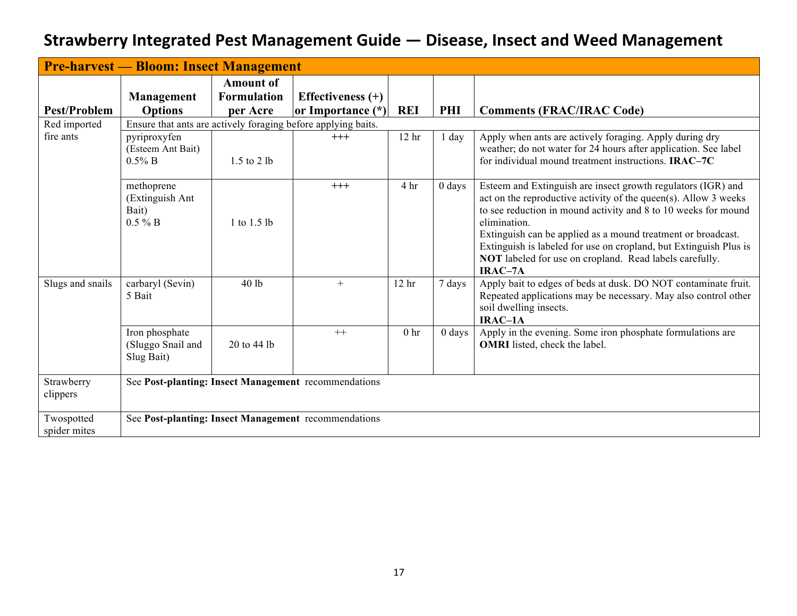|                            | <b>Pre-harvest — Bloom: Insect Management</b>        |                                                    |                                                               |                  |          |                                                                                                                                                                                                                                                                                                                                                                                                                              |
|----------------------------|------------------------------------------------------|----------------------------------------------------|---------------------------------------------------------------|------------------|----------|------------------------------------------------------------------------------------------------------------------------------------------------------------------------------------------------------------------------------------------------------------------------------------------------------------------------------------------------------------------------------------------------------------------------------|
| <b>Pest/Problem</b>        | Management<br><b>Options</b>                         | <b>Amount of</b><br><b>Formulation</b><br>per Acre | Effectiveness $(+)$<br>or Importance (*)                      | <b>REI</b>       | PHI      | <b>Comments (FRAC/IRAC Code)</b>                                                                                                                                                                                                                                                                                                                                                                                             |
| Red imported               |                                                      |                                                    | Ensure that ants are actively foraging before applying baits. |                  |          |                                                                                                                                                                                                                                                                                                                                                                                                                              |
| fire ants                  | pyriproxyfen<br>(Esteem Ant Bait)<br>$0.5\%$ B       | $1.5$ to $2 lb$                                    | $+++$                                                         | 12 <sub>hr</sub> | 1 day    | Apply when ants are actively foraging. Apply during dry<br>weather; do not water for 24 hours after application. See label<br>for individual mound treatment instructions. <b>IRAC-7C</b>                                                                                                                                                                                                                                    |
|                            | methoprene<br>(Extinguish Ant<br>Bait)<br>$0.5 \% B$ | 1 to 1.5 lb                                        | $+++$                                                         | 4 hr             | $0$ days | Esteem and Extinguish are insect growth regulators (IGR) and<br>act on the reproductive activity of the queen(s). Allow 3 weeks<br>to see reduction in mound activity and 8 to 10 weeks for mound<br>elimination.<br>Extinguish can be applied as a mound treatment or broadcast.<br>Extinguish is labeled for use on cropland, but Extinguish Plus is<br>NOT labeled for use on cropland. Read labels carefully.<br>IRAC-7A |
| Slugs and snails           | carbaryl (Sevin)<br>5 Bait                           | 40 lb                                              | $+$                                                           | 12 <sub>hr</sub> | 7 days   | Apply bait to edges of beds at dusk. DO NOT contaminate fruit.<br>Repeated applications may be necessary. May also control other<br>soil dwelling insects.<br>IRAC-1A                                                                                                                                                                                                                                                        |
|                            | Iron phosphate<br>(Sluggo Snail and<br>Slug Bait)    | 20 to 44 lb                                        | $++$                                                          | 0 <sub>hr</sub>  | $0$ days | Apply in the evening. Some iron phosphate formulations are<br><b>OMRI</b> listed, check the label.                                                                                                                                                                                                                                                                                                                           |
| Strawberry<br>clippers     |                                                      |                                                    | See Post-planting: Insect Management recommendations          |                  |          |                                                                                                                                                                                                                                                                                                                                                                                                                              |
| Twospotted<br>spider mites |                                                      |                                                    | See Post-planting: Insect Management recommendations          |                  |          |                                                                                                                                                                                                                                                                                                                                                                                                                              |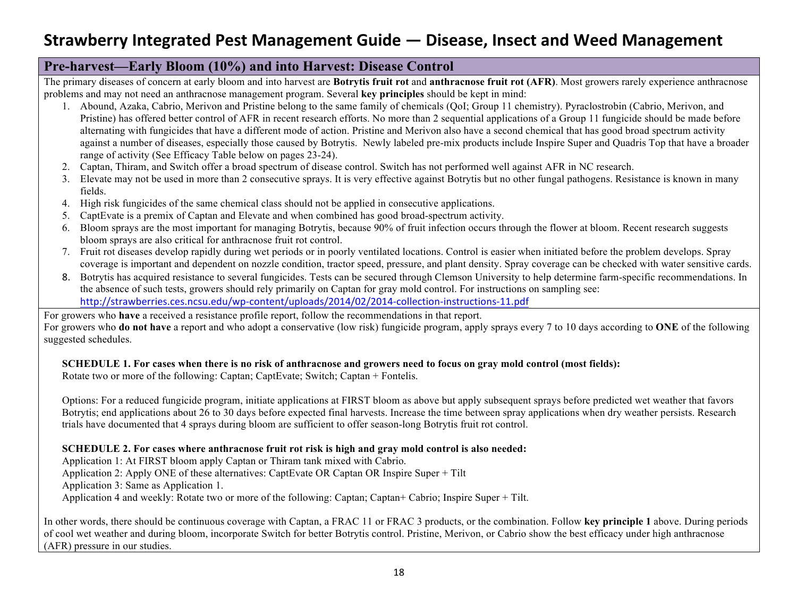#### **Pre-harvest—Early Bloom (10%) and into Harvest: Disease Control**

The primary diseases of concern at early bloom and into harvest are **Botrytis fruit rot** and **anthracnose fruit rot (AFR)**. Most growers rarely experience anthracnose problems and may not need an anthracnose management program. Several **key principles** should be kept in mind:

- 1. Abound, Azaka, Cabrio, Merivon and Pristine belong to the same family of chemicals (QoI; Group 11 chemistry). Pyraclostrobin (Cabrio, Merivon, and Pristine) has offered better control of AFR in recent research efforts. No more than 2 sequential applications of a Group 11 fungicide should be made before alternating with fungicides that have a different mode of action. Pristine and Merivon also have a second chemical that has good broad spectrum activity against a number of diseases, especially those caused by Botrytis. Newly labeled pre-mix products include Inspire Super and Quadris Top that have a broader range of activity (See Efficacy Table below on pages 23-24).
- 2. Captan, Thiram, and Switch offer a broad spectrum of disease control. Switch has not performed well against AFR in NC research.
- 3. Elevate may not be used in more than 2 consecutive sprays. It is very effective against Botrytis but no other fungal pathogens. Resistance is known in many fields.
- 4. High risk fungicides of the same chemical class should not be applied in consecutive applications.
- 5. CaptEvate is a premix of Captan and Elevate and when combined has good broad-spectrum activity.
- 6. Bloom sprays are the most important for managing Botrytis, because 90% of fruit infection occurs through the flower at bloom. Recent research suggests bloom sprays are also critical for anthracnose fruit rot control.
- 7. Fruit rot diseases develop rapidly during wet periods or in poorly ventilated locations. Control is easier when initiated before the problem develops. Spray coverage is important and dependent on nozzle condition, tractor speed, pressure, and plant density. Spray coverage can be checked with water sensitive cards.
- 8. Botrytis has acquired resistance to several fungicides. Tests can be secured through Clemson University to help determine farm-specific recommendations. In the absence of such tests, growers should rely primarily on Captan for gray mold control. For instructions on sampling see: http://strawberries.ces.ncsu.edu/wp-content/uploads/2014/02/2014-collection-instructions-11.pdf

For growers who **have** a received a resistance profile report, follow the recommendations in that report.

For growers who **do not have** a report and who adopt a conservative (low risk) fungicide program, apply sprays every 7 to 10 days according to **ONE** of the following suggested schedules.

#### **SCHEDULE 1. For cases when there is no risk of anthracnose and growers need to focus on gray mold control (most fields):**

Rotate two or more of the following: Captan; CaptEvate; Switch; Captan + Fontelis.

Options: For a reduced fungicide program, initiate applications at FIRST bloom as above but apply subsequent sprays before predicted wet weather that favors Botrytis; end applications about 26 to 30 days before expected final harvests. Increase the time between spray applications when dry weather persists. Research trials have documented that 4 sprays during bloom are sufficient to offer season-long Botrytis fruit rot control.

#### **SCHEDULE 2. For cases where anthracnose fruit rot risk is high and gray mold control is also needed:**

Application 1: At FIRST bloom apply Captan or Thiram tank mixed with Cabrio.

Application 2: Apply ONE of these alternatives: CaptEvate OR Captan OR Inspire Super + Tilt

Application 3: Same as Application 1.

Application 4 and weekly: Rotate two or more of the following: Captan; Captan+ Cabrio; Inspire Super + Tilt.

In other words, there should be continuous coverage with Captan, a FRAC 11 or FRAC 3 products, or the combination. Follow **key principle 1** above. During periods of cool wet weather and during bloom, incorporate Switch for better Botrytis control. Pristine, Merivon, or Cabrio show the best efficacy under high anthracnose (AFR) pressure in our studies.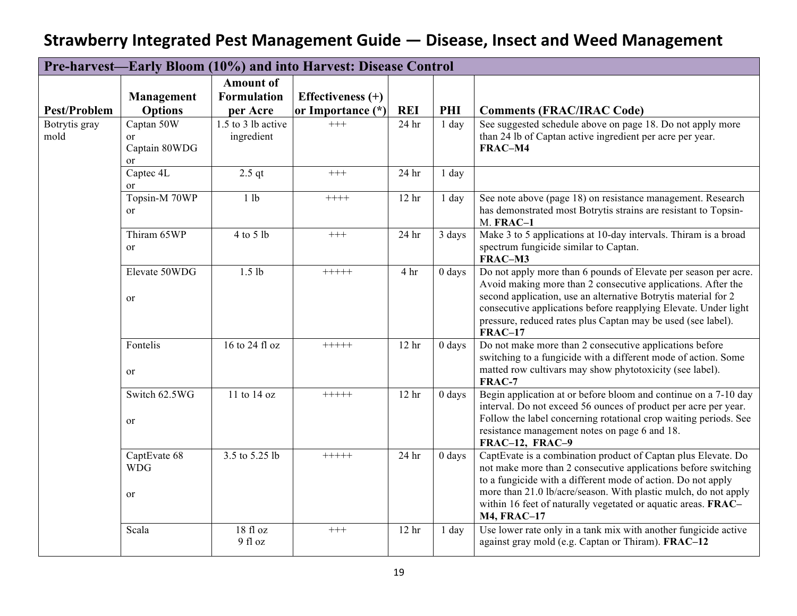|                       |                                         |                                                    | Pre-harvest—Early Bloom (10%) and into Harvest: Disease Control |                  |          |                                                                                                                                                                                                                                                                                                                                                           |
|-----------------------|-----------------------------------------|----------------------------------------------------|-----------------------------------------------------------------|------------------|----------|-----------------------------------------------------------------------------------------------------------------------------------------------------------------------------------------------------------------------------------------------------------------------------------------------------------------------------------------------------------|
| <b>Pest/Problem</b>   | Management<br><b>Options</b>            | <b>Amount of</b><br><b>Formulation</b><br>per Acre | Effectiveness (+)<br>or Importance (*)                          | <b>REI</b>       | PHI      | <b>Comments (FRAC/IRAC Code)</b>                                                                                                                                                                                                                                                                                                                          |
| Botrytis gray<br>mold | Captan 50W<br>or<br>Captain 80WDG<br>or | 1.5 to 3 lb active<br>ingredient                   | $+++$                                                           | 24 <sub>hr</sub> | 1 day    | See suggested schedule above on page 18. Do not apply more<br>than 24 lb of Captan active ingredient per acre per year.<br>FRAC-M4                                                                                                                                                                                                                        |
|                       | Captec 4L<br><sub>or</sub>              | $2.5$ qt                                           | $^{+++}$                                                        | 24 hr            | $1$ day  |                                                                                                                                                                                                                                                                                                                                                           |
|                       | Topsin-M 70WP<br>or                     | 1 lb                                               | $+++++$                                                         | 12 <sub>hr</sub> | 1 day    | See note above (page 18) on resistance management. Research<br>has demonstrated most Botrytis strains are resistant to Topsin-<br>M. FRAC-1                                                                                                                                                                                                               |
|                       | Thiram 65WP<br><sub>or</sub>            | 4 to 5 lb                                          | $^{+++}$                                                        | 24 hr            | 3 days   | Make 3 to 5 applications at 10-day intervals. Thiram is a broad<br>spectrum fungicide similar to Captan.<br>FRAC-M3                                                                                                                                                                                                                                       |
|                       | Elevate 50WDG<br>or                     | $1.5$ lb                                           | $+++++$                                                         | 4 hr             | $0$ days | Do not apply more than 6 pounds of Elevate per season per acre.<br>Avoid making more than 2 consecutive applications. After the<br>second application, use an alternative Botrytis material for 2<br>consecutive applications before reapplying Elevate. Under light<br>pressure, reduced rates plus Captan may be used (see label).<br><b>FRAC-17</b>    |
|                       | Fontelis<br>or                          | 16 to 24 fl oz                                     | $+++++$                                                         | 12 <sub>hr</sub> | $0$ days | Do not make more than 2 consecutive applications before<br>switching to a fungicide with a different mode of action. Some<br>matted row cultivars may show phytotoxicity (see label).<br>FRAC-7                                                                                                                                                           |
|                       | Switch 62.5WG<br>or                     | 11 to 14 oz                                        | $+++++$                                                         | 12 <sub>hr</sub> | $0$ days | Begin application at or before bloom and continue on a 7-10 day<br>interval. Do not exceed 56 ounces of product per acre per year.<br>Follow the label concerning rotational crop waiting periods. See<br>resistance management notes on page 6 and 18.<br>FRAC-12, FRAC-9                                                                                |
|                       | CaptEvate 68<br><b>WDG</b><br>or        | 3.5 to 5.25 lb                                     | $+++++$                                                         | 24 <sub>hr</sub> | $0$ days | CaptEvate is a combination product of Captan plus Elevate. Do<br>not make more than 2 consecutive applications before switching<br>to a fungicide with a different mode of action. Do not apply<br>more than 21.0 lb/acre/season. With plastic mulch, do not apply<br>within 16 feet of naturally vegetated or aquatic areas. FRAC-<br><b>M4, FRAC-17</b> |
|                       | Scala                                   | 18 fl oz<br>9 fl oz                                | $+++$                                                           | 12 <sub>hr</sub> | $1$ day  | Use lower rate only in a tank mix with another fungicide active<br>against gray mold (e.g. Captan or Thiram). FRAC-12                                                                                                                                                                                                                                     |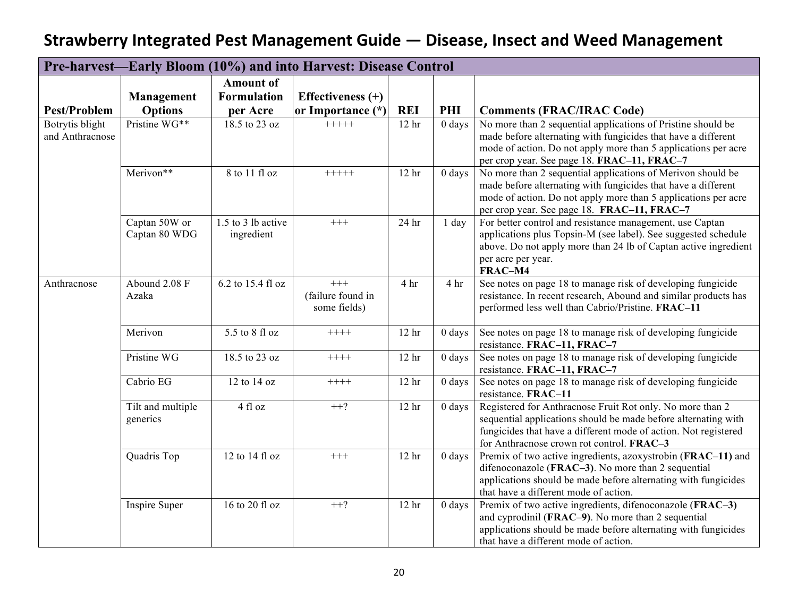|                     |                   |                    | Pre-harvest—Early Bloom (10%) and into Harvest: Disease Control |                  |                    |                                                                                                            |
|---------------------|-------------------|--------------------|-----------------------------------------------------------------|------------------|--------------------|------------------------------------------------------------------------------------------------------------|
|                     |                   | <b>Amount of</b>   |                                                                 |                  |                    |                                                                                                            |
|                     | Management        | <b>Formulation</b> | Effectiveness $(+)$                                             |                  |                    |                                                                                                            |
| <b>Pest/Problem</b> | <b>Options</b>    | per Acre           | or Importance (*)                                               | <b>REI</b>       | PHI                | <b>Comments (FRAC/IRAC Code)</b>                                                                           |
| Botrytis blight     | Pristine WG**     | 18.5 to 23 oz      | $+++++$                                                         | 12 <sub>hr</sub> | $0$ days           | No more than 2 sequential applications of Pristine should be                                               |
| and Anthracnose     |                   |                    |                                                                 |                  |                    | made before alternating with fungicides that have a different                                              |
|                     |                   |                    |                                                                 |                  |                    | mode of action. Do not apply more than 5 applications per acre                                             |
|                     | Merivon**         | $8$ to 11 fl oz    | $+++++$                                                         | 12 <sup>hr</sup> | $0$ days           | per crop year. See page 18. FRAC-11, FRAC-7<br>No more than 2 sequential applications of Merivon should be |
|                     |                   |                    |                                                                 |                  |                    | made before alternating with fungicides that have a different                                              |
|                     |                   |                    |                                                                 |                  |                    | mode of action. Do not apply more than 5 applications per acre                                             |
|                     |                   |                    |                                                                 |                  |                    | per crop year. See page 18. FRAC-11, FRAC-7                                                                |
|                     | Captan 50W or     | 1.5 to 3 lb active | $\!+\!+\!+$                                                     | 24 hr            | $1$ day            | For better control and resistance management, use Captan                                                   |
|                     | Captan 80 WDG     | ingredient         |                                                                 |                  |                    | applications plus Topsin-M (see label). See suggested schedule                                             |
|                     |                   |                    |                                                                 |                  |                    | above. Do not apply more than 24 lb of Captan active ingredient                                            |
|                     |                   |                    |                                                                 |                  |                    | per acre per year.                                                                                         |
| Anthracnose         | Abound 2.08 F     | 6.2 to 15.4 fl oz  | $^{+++}$                                                        | 4 hr             | 4 hr               | FRAC-M4<br>See notes on page 18 to manage risk of developing fungicide                                     |
|                     | Azaka             |                    | (failure found in                                               |                  |                    | resistance. In recent research, Abound and similar products has                                            |
|                     |                   |                    | some fields)                                                    |                  |                    | performed less well than Cabrio/Pristine. FRAC-11                                                          |
|                     |                   |                    |                                                                 |                  |                    |                                                                                                            |
|                     | Merivon           | 5.5 to 8 fl oz     | $++++-$                                                         | 12 <sub>hr</sub> | $0 \, \text{days}$ | See notes on page 18 to manage risk of developing fungicide                                                |
|                     |                   |                    |                                                                 |                  |                    | resistance. FRAC-11, FRAC-7                                                                                |
|                     | Pristine WG       | 18.5 to 23 oz      | $++++-$                                                         | 12 <sub>hr</sub> | $0$ days           | See notes on page 18 to manage risk of developing fungicide                                                |
|                     | Cabrio EG         | 12 to 14 oz        | $++++-$                                                         | 12 <sub>hr</sub> | $0$ days           | resistance. FRAC-11, FRAC-7<br>See notes on page 18 to manage risk of developing fungicide                 |
|                     |                   |                    |                                                                 |                  |                    | resistance. FRAC-11                                                                                        |
|                     | Tilt and multiple | 4 fl oz            | $++?$                                                           | 12 <sub>hr</sub> | $0$ days           | Registered for Anthracnose Fruit Rot only. No more than 2                                                  |
|                     | generics          |                    |                                                                 |                  |                    | sequential applications should be made before alternating with                                             |
|                     |                   |                    |                                                                 |                  |                    | fungicides that have a different mode of action. Not registered                                            |
|                     |                   |                    |                                                                 |                  |                    | for Anthracnose crown rot control. FRAC-3                                                                  |
|                     | Quadris Top       | 12 to 14 fl oz     | $+++$                                                           | 12 <sub>hr</sub> | $0$ days           | Premix of two active ingredients, azoxystrobin (FRAC-11) and                                               |
|                     |                   |                    |                                                                 |                  |                    | difenoconazole (FRAC-3). No more than 2 sequential                                                         |
|                     |                   |                    |                                                                 |                  |                    | applications should be made before alternating with fungicides<br>that have a different mode of action.    |
|                     | Inspire Super     | 16 to 20 fl oz     | $++?$                                                           | 12 <sub>hr</sub> | $0$ days           | Premix of two active ingredients, difenoconazole (FRAC-3)                                                  |
|                     |                   |                    |                                                                 |                  |                    | and cyprodinil (FRAC-9). No more than 2 sequential                                                         |
|                     |                   |                    |                                                                 |                  |                    | applications should be made before alternating with fungicides                                             |
|                     |                   |                    |                                                                 |                  |                    | that have a different mode of action.                                                                      |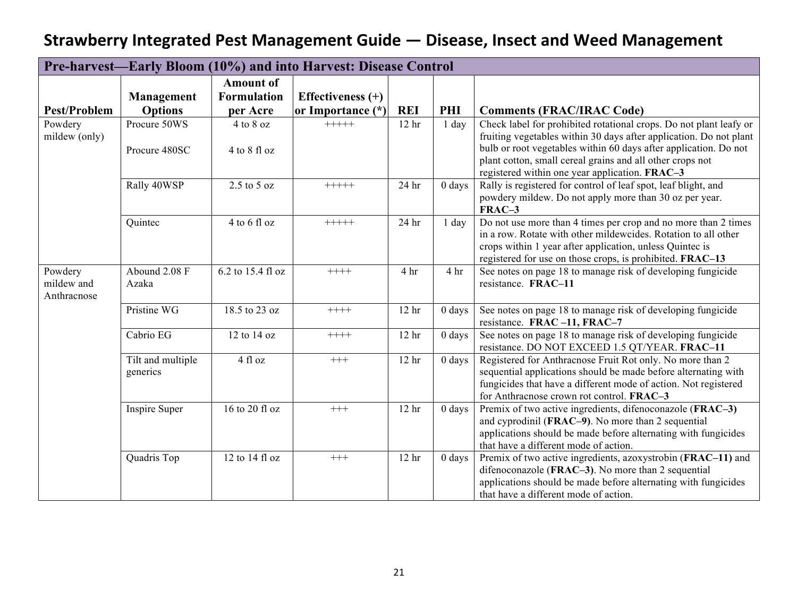|                                      |                               |                           | Pre-harvest—Early Bloom (10%) and into Harvest: Disease Control |                  |                 |                                                                                                                                                                                                                                                                                                                             |
|--------------------------------------|-------------------------------|---------------------------|-----------------------------------------------------------------|------------------|-----------------|-----------------------------------------------------------------------------------------------------------------------------------------------------------------------------------------------------------------------------------------------------------------------------------------------------------------------------|
|                                      |                               | <b>Amount of</b>          |                                                                 |                  |                 |                                                                                                                                                                                                                                                                                                                             |
|                                      | <b>Management</b>             | <b>Formulation</b>        | Effectiveness $(+)$                                             |                  |                 |                                                                                                                                                                                                                                                                                                                             |
| <b>Pest/Problem</b>                  | <b>Options</b>                | per Acre                  | or Importance (*)                                               | <b>REI</b>       | PHI             | <b>Comments (FRAC/IRAC Code)</b>                                                                                                                                                                                                                                                                                            |
| Powdery<br>mildew (only)             | Procure 50WS<br>Procure 480SC | 4 to 8 oz<br>4 to 8 fl oz | $+++++$                                                         | 12 <sub>hr</sub> | $1$ day         | Check label for prohibited rotational crops. Do not plant leafy or<br>fruiting vegetables within 30 days after application. Do not plant<br>bulb or root vegetables within 60 days after application. Do not<br>plant cotton, small cereal grains and all other crops not<br>registered within one year application. FRAC-3 |
|                                      | Rally 40WSP                   | $2.5$ to $5$ oz           | $+++++$                                                         | 24 hr            | $0$ days        | Rally is registered for control of leaf spot, leaf blight, and<br>powdery mildew. Do not apply more than 30 oz per year.<br>FRAC-3                                                                                                                                                                                          |
|                                      | Quintec                       | $4$ to 6 fl oz            | $+++++$                                                         | 24 hr            | $1$ day         | Do not use more than 4 times per crop and no more than 2 times<br>in a row. Rotate with other mildewcides. Rotation to all other<br>crops within 1 year after application, unless Quintec is<br>registered for use on those crops, is prohibited. FRAC-13                                                                   |
| Powdery<br>mildew and<br>Anthracnose | Abound 2.08 F<br>Azaka        | 6.2 to 15.4 fl oz         | $+++++$                                                         | 4 hr             | 4 <sup>hr</sup> | See notes on page 18 to manage risk of developing fungicide<br>resistance. FRAC-11                                                                                                                                                                                                                                          |
|                                      | Pristine WG                   | 18.5 to 23 oz             | $++++-$                                                         | 12 <sup>hr</sup> | $0$ days        | See notes on page 18 to manage risk of developing fungicide<br>resistance. FRAC-11, FRAC-7                                                                                                                                                                                                                                  |
|                                      | Cabrio EG                     | 12 to 14 oz               | $++++-$                                                         | 12 <sub>hr</sub> | $0$ days        | See notes on page 18 to manage risk of developing fungicide<br>resistance. DO NOT EXCEED 1.5 QT/YEAR. FRAC-11                                                                                                                                                                                                               |
|                                      | Tilt and multiple<br>generics | 4 fl oz                   | $+++$                                                           | 12 <sup>hr</sup> | $0$ days        | Registered for Anthracnose Fruit Rot only. No more than 2<br>sequential applications should be made before alternating with<br>fungicides that have a different mode of action. Not registered<br>for Anthracnose crown rot control. FRAC-3                                                                                 |
|                                      | Inspire Super                 | 16 to 20 fl oz            | $+++$                                                           | 12 <sub>hr</sub> | $0$ days        | Premix of two active ingredients, difenoconazole (FRAC-3)<br>and cyprodinil (FRAC-9). No more than 2 sequential<br>applications should be made before alternating with fungicides<br>that have a different mode of action.                                                                                                  |
|                                      | Quadris Top                   | 12 to 14 fl oz            | $+++$                                                           | 12 <sub>hr</sub> | $0$ days        | Premix of two active ingredients, azoxystrobin (FRAC-11) and<br>difenoconazole (FRAC-3). No more than 2 sequential<br>applications should be made before alternating with fungicides<br>that have a different mode of action.                                                                                               |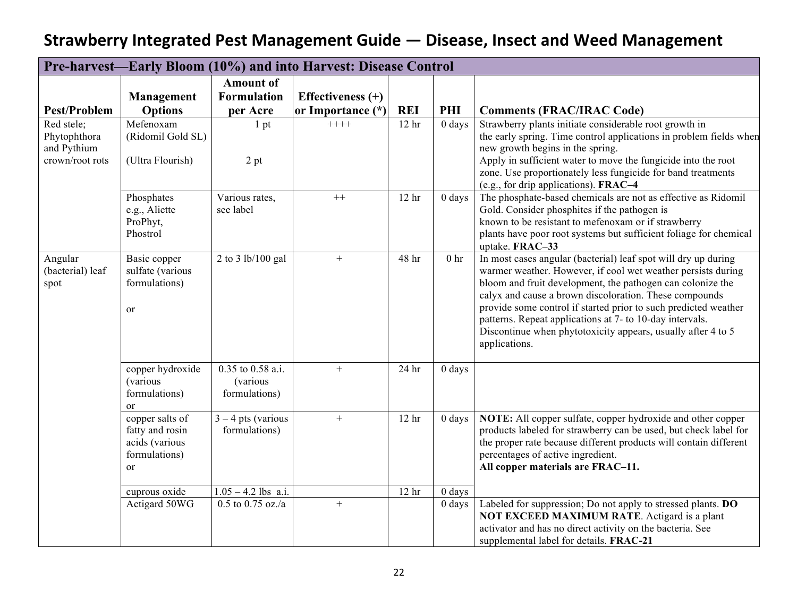|                                                              |                                                                                        |                                                | Pre-harvest—Early Bloom (10%) and into Harvest: Disease Control |                  |                 |                                                                                                                                                                                                                                                                                                                                                                                                                                                                        |
|--------------------------------------------------------------|----------------------------------------------------------------------------------------|------------------------------------------------|-----------------------------------------------------------------|------------------|-----------------|------------------------------------------------------------------------------------------------------------------------------------------------------------------------------------------------------------------------------------------------------------------------------------------------------------------------------------------------------------------------------------------------------------------------------------------------------------------------|
|                                                              |                                                                                        | <b>Amount of</b>                               |                                                                 |                  |                 |                                                                                                                                                                                                                                                                                                                                                                                                                                                                        |
|                                                              | Management                                                                             | <b>Formulation</b>                             | Effectiveness $(+)$                                             |                  |                 |                                                                                                                                                                                                                                                                                                                                                                                                                                                                        |
| <b>Pest/Problem</b>                                          | <b>Options</b>                                                                         | per Acre                                       | or Importance (*)                                               | <b>REI</b>       | PHI             | <b>Comments (FRAC/IRAC Code)</b>                                                                                                                                                                                                                                                                                                                                                                                                                                       |
| Red stele;<br>Phytophthora<br>and Pythium<br>crown/root rots | Mefenoxam<br>(Ridomil Gold SL)<br>(Ultra Flourish)                                     | 1 pt<br>2 pt                                   | $++++$                                                          | 12 <sub>hr</sub> | $0$ days        | Strawberry plants initiate considerable root growth in<br>the early spring. Time control applications in problem fields when<br>new growth begins in the spring.<br>Apply in sufficient water to move the fungicide into the root<br>zone. Use proportionately less fungicide for band treatments<br>(e.g., for drip applications). FRAC-4                                                                                                                             |
|                                                              | Phosphates<br>e.g., Aliette<br>ProPhyt,<br>Phostrol                                    | Various rates,<br>see label                    | $++$                                                            | 12 <sub>hr</sub> | $0$ days        | The phosphate-based chemicals are not as effective as Ridomil<br>Gold. Consider phosphites if the pathogen is<br>known to be resistant to mefenoxam or if strawberry<br>plants have poor root systems but sufficient foliage for chemical<br>uptake. FRAC-33                                                                                                                                                                                                           |
| Angular<br>(bacterial) leaf<br>spot                          | Basic copper<br>sulfate (various<br>formulations)<br>or                                | 2 to 3 lb/100 gal                              | $+$                                                             | 48 hr            | 0 <sub>hr</sub> | In most cases angular (bacterial) leaf spot will dry up during<br>warmer weather. However, if cool wet weather persists during<br>bloom and fruit development, the pathogen can colonize the<br>calyx and cause a brown discoloration. These compounds<br>provide some control if started prior to such predicted weather<br>patterns. Repeat applications at 7- to 10-day intervals.<br>Discontinue when phytotoxicity appears, usually after 4 to 5<br>applications. |
|                                                              | copper hydroxide<br>(various<br>formulations)<br>or                                    | 0.35 to 0.58 a.i.<br>(various<br>formulations) | $+$                                                             | 24 <sub>hr</sub> | $0$ days        |                                                                                                                                                                                                                                                                                                                                                                                                                                                                        |
|                                                              | copper salts of<br>fatty and rosin<br>acids (various<br>formulations)<br><sub>or</sub> | $3 - 4$ pts (various<br>formulations)          | $+$                                                             | 12 <sub>hr</sub> | $0$ days        | NOTE: All copper sulfate, copper hydroxide and other copper<br>products labeled for strawberry can be used, but check label for<br>the proper rate because different products will contain different<br>percentages of active ingredient.<br>All copper materials are FRAC-11.                                                                                                                                                                                         |
|                                                              | cuprous oxide                                                                          | $1.05 - 4.2$ lbs a.i.                          |                                                                 | 12 <sub>hr</sub> | $0$ days        |                                                                                                                                                                                                                                                                                                                                                                                                                                                                        |
|                                                              | Actigard 50WG                                                                          | $0.5$ to $0.75$ oz./a                          | $+$                                                             |                  | $0$ days        | Labeled for suppression; Do not apply to stressed plants. DO<br>NOT EXCEED MAXIMUM RATE. Actigard is a plant<br>activator and has no direct activity on the bacteria. See<br>supplemental label for details. FRAC-21                                                                                                                                                                                                                                                   |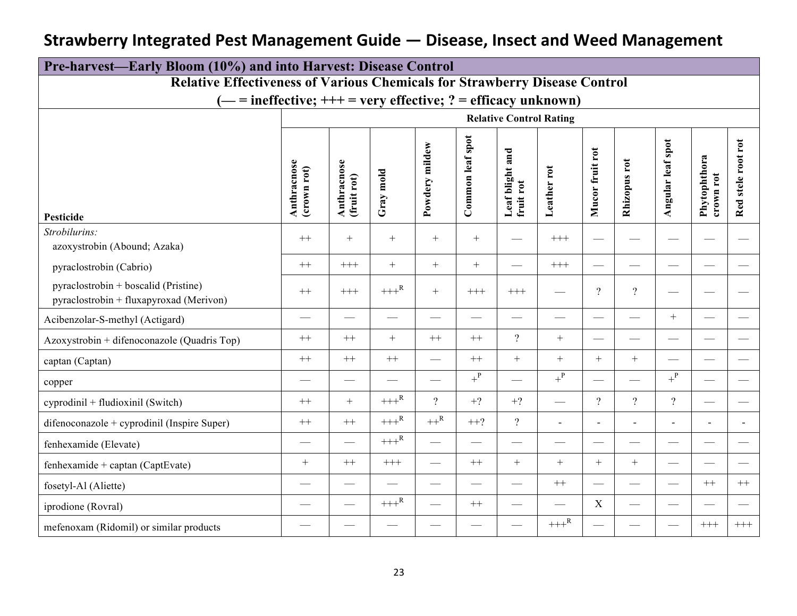|                                                                                   | Pre-harvest—Early Bloom (10%) and into Harvest: Disease Control |                            |                          |                          |                          |                                 |                          |                          |                          |                          |                           |                                   |
|-----------------------------------------------------------------------------------|-----------------------------------------------------------------|----------------------------|--------------------------|--------------------------|--------------------------|---------------------------------|--------------------------|--------------------------|--------------------------|--------------------------|---------------------------|-----------------------------------|
| <b>Relative Effectiveness of Various Chemicals for Strawberry Disease Control</b> |                                                                 |                            |                          |                          |                          |                                 |                          |                          |                          |                          |                           |                                   |
| $i =$ ineffective; $++$ = very effective; ? = efficacy unknown)                   |                                                                 |                            |                          |                          |                          |                                 |                          |                          |                          |                          |                           |                                   |
|                                                                                   |                                                                 |                            |                          |                          |                          | <b>Relative Control Rating</b>  |                          |                          |                          |                          |                           |                                   |
| Pesticide                                                                         | Anthracnose<br>(crown rot)                                      | Anthracnose<br>(fruit rot) | mold<br>Gray             | Powdery mildew           | Common leaf spot         | and<br>Leaf blight<br>fruit rot | Leather rot              | Mucor fruit rot          | Rhizopus rot             | spot<br>Angular leaf     | Phytophthora<br>crown rot | $_{\rm rot}$<br>stele root<br>Red |
| Strobilurins:<br>azoxystrobin (Abound; Azaka)                                     | $++$                                                            | $+$                        | $+$                      | $+$                      | $+$                      |                                 | $^{+++}$                 |                          |                          |                          |                           |                                   |
| pyraclostrobin (Cabrio)                                                           | $++$                                                            | $+++$                      | $+$                      | $+$                      | $+$                      |                                 | $+++$                    | $\equiv$                 |                          |                          |                           |                                   |
| pyraclostrobin + boscalid (Pristine)<br>pyraclostrobin + fluxapyroxad (Merivon)   | $++$                                                            | $+++$                      | $+++^{\mathsf{R}}$       | $+$                      | $+++$                    | $+++$                           |                          | $\gamma$                 | $\gamma$                 |                          |                           |                                   |
| Acibenzolar-S-methyl (Actigard)                                                   |                                                                 | $\overline{\phantom{0}}$   |                          | $\overline{\phantom{0}}$ | $\overline{\phantom{0}}$ |                                 | $\qquad \qquad$          |                          | $\overline{\phantom{0}}$ | $+$                      | $\overline{\phantom{0}}$  |                                   |
| Azoxystrobin + difenoconazole (Quadris Top)                                       | $++$                                                            | $++$                       | $+$                      | $++$                     | $++$                     | $\gamma$                        | $+$                      |                          |                          | $\overline{\phantom{a}}$ |                           |                                   |
| captan (Captan)                                                                   | $++$                                                            | $^{++}$                    | $++$                     | $\overline{\phantom{0}}$ | $++$                     | $+$                             | $+$                      | $+$                      | $+$                      | $\overline{\phantom{0}}$ |                           |                                   |
| copper                                                                            |                                                                 |                            |                          | $\overline{\phantom{0}}$ | $+^{\mathsf{P}}$         | $\qquad \qquad$                 | $+^{\rm P}$              |                          |                          | $+^{\rm P}$              | $\overline{\phantom{0}}$  |                                   |
| cyprodinil + fludioxinil (Switch)                                                 | $++$                                                            | $+$                        | $+++^R$                  | $\gamma$                 | $+2$                     | $+?$                            | $\qquad \qquad$          | $\gamma$                 | $\gamma$                 | $\gamma$                 |                           |                                   |
| difenoconazole + cyprodinil (Inspire Super)                                       | $^{++}$                                                         | $^{++}$                    | $\!+\!+\!+^{\mathrm{R}}$ | $++^R$                   | $++?$                    | $\gamma$                        | $\overline{\phantom{a}}$ | $\overline{\phantom{a}}$ |                          |                          |                           |                                   |
| fenhexamide (Elevate)                                                             |                                                                 | $\qquad \qquad$            | $+++^R$                  | $\overline{\phantom{0}}$ | $\overline{\phantom{0}}$ |                                 | $\qquad \qquad$          |                          |                          |                          |                           |                                   |
| fenhexamide + captan (CaptEvate)                                                  | $+$                                                             | $++$                       | $^{+++}$                 | $\overline{\phantom{0}}$ | $++$                     | $^{+}$                          | $+$                      | $+$                      | $+$                      |                          |                           |                                   |
| fosetyl-Al (Aliette)                                                              |                                                                 | $\qquad \qquad$            |                          | $\qquad \qquad$          | $\qquad \qquad$          | $\qquad \qquad$                 | $++$                     |                          |                          |                          | $++$                      | $++$                              |
| iprodione (Rovral)                                                                |                                                                 | $\overline{\phantom{0}}$   | $+++^R$                  |                          | $++$                     |                                 |                          | $\mathbf X$              |                          |                          |                           |                                   |
| mefenoxam (Ridomil) or similar products                                           |                                                                 |                            |                          |                          |                          |                                 | $+++^R$                  |                          |                          |                          | $+++$                     | $^{+++}$                          |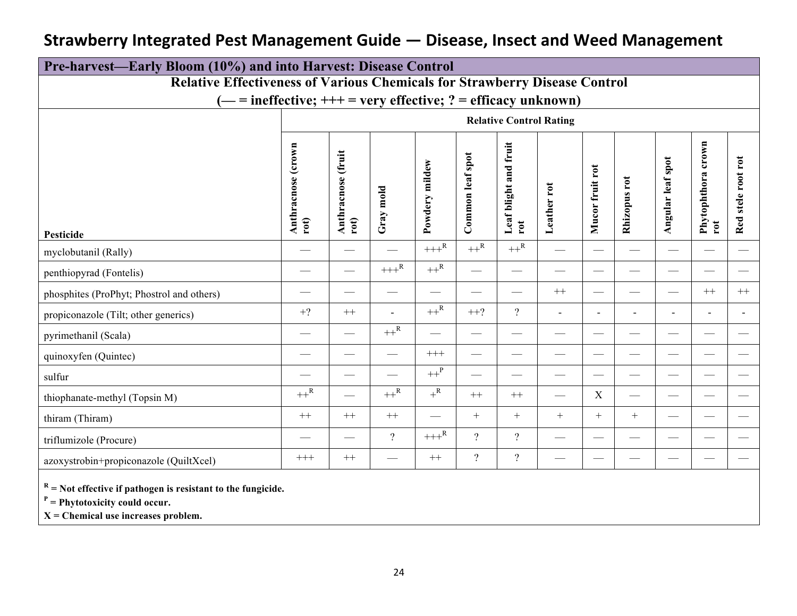| Pre-harvest—Early Bloom (10%) and into Harvest: Disease Control |                                                                                   |                                |                    |                     |                          |                                             |                               |                          |                |                               |                              |                                      |
|-----------------------------------------------------------------|-----------------------------------------------------------------------------------|--------------------------------|--------------------|---------------------|--------------------------|---------------------------------------------|-------------------------------|--------------------------|----------------|-------------------------------|------------------------------|--------------------------------------|
|                                                                 | <b>Relative Effectiveness of Various Chemicals for Strawberry Disease Control</b> |                                |                    |                     |                          |                                             |                               |                          |                |                               |                              |                                      |
|                                                                 | $($ — = ineffective; +++ = very effective; ? = efficacy unknown)                  |                                |                    |                     |                          |                                             |                               |                          |                |                               |                              |                                      |
|                                                                 |                                                                                   | <b>Relative Control Rating</b> |                    |                     |                          |                                             |                               |                          |                |                               |                              |                                      |
| <b>Pesticide</b>                                                | Anthracnose (crown<br>rot)                                                        | Anthracnose (fruit<br>rot)     | Gray mold          | Powdery mildew      | Common leaf spot         | fruit<br>and<br>Leaf blight<br>$_{\rm rot}$ | Leather rot                   | Mucor fruit rot          | Rhizopus rot   | Angular leaf spot             | crown<br>Phytophthora<br>rot | rot<br>$_{\rm root}$<br>stele<br>Red |
| myclobutanil (Rally)                                            |                                                                                   | $\overbrace{\phantom{13333}}$  |                    | $+++^R$             | $++^R$                   | $++^R$                                      |                               |                          |                |                               |                              |                                      |
| penthiopyrad (Fontelis)                                         |                                                                                   |                                | $+++^{\mathsf{R}}$ | $++^R$              | $\qquad \qquad$          | $\hspace{0.05cm}$                           | $\qquad \qquad$               | $\overline{\phantom{m}}$ |                |                               |                              |                                      |
| phosphites (ProPhyt; Phostrol and others)                       |                                                                                   |                                |                    |                     | $\overline{\phantom{0}}$ |                                             | $^{++}$                       |                          |                | $\overline{\phantom{a}}$      | $++$                         | $^{++}$                              |
| propiconazole (Tilt; other generics)                            | $+?$                                                                              | $^{++}$                        |                    | $++^{\overline{R}}$ | $++?$                    | $\overline{\mathcal{L}}$                    | $\overline{\phantom{a}}$      | $\overline{\phantom{a}}$ | $\blacksquare$ | $\blacksquare$                | $\blacksquare$               | $\blacksquare$                       |
| pyrimethanil (Scala)                                            |                                                                                   |                                | $++^R$             |                     | $\qquad \qquad$          |                                             |                               |                          |                |                               |                              |                                      |
| quinoxyfen (Quintec)                                            | $\qquad \qquad$                                                                   |                                | $\qquad \qquad$    | $^{+++}$            | $\overline{\phantom{m}}$ | $\overbrace{\phantom{13333}}$               | $\overbrace{\phantom{13333}}$ |                          |                |                               |                              |                                      |
| sulfur                                                          |                                                                                   |                                |                    | $++^{\mathrm{P}}$   | $\qquad \qquad$          |                                             |                               |                          |                |                               |                              |                                      |
| thiophanate-methyl (Topsin M)                                   | $++^R$                                                                            |                                | $++^R$             | $+^{\mathsf{R}}$    | $++$                     | $++$                                        | $\overline{\phantom{0}}$      | $\mathbf X$              |                | $\overbrace{\phantom{aaaaa}}$ |                              |                                      |
| thiram (Thiram)                                                 | $^{++}$                                                                           | $^{++}$                        | $^{++}$            |                     | $+$                      | $^{+}$                                      | $+$                           | $+$                      | $+$            |                               |                              |                                      |
| triflumizole (Procure)                                          |                                                                                   |                                | $\gamma$           | $+++^{\rm R}$       | $\gamma$                 | $\overline{?}$                              |                               |                          |                |                               |                              |                                      |
| azoxystrobin+propiconazole (QuiltXcel)                          | $^{+++}$                                                                          | $^{++}\,$                      |                    | $++$                | $\overline{?}$           | $\boldsymbol{?}$                            |                               |                          |                |                               |                              |                                      |
| $R =$ Not effective if pathogen is resistant to the fungicide.  |                                                                                   |                                |                    |                     |                          |                                             |                               |                          |                |                               |                              |                                      |

 $P =$  **Phytotoxicity could occur.** 

**X = Chemical use increases problem.**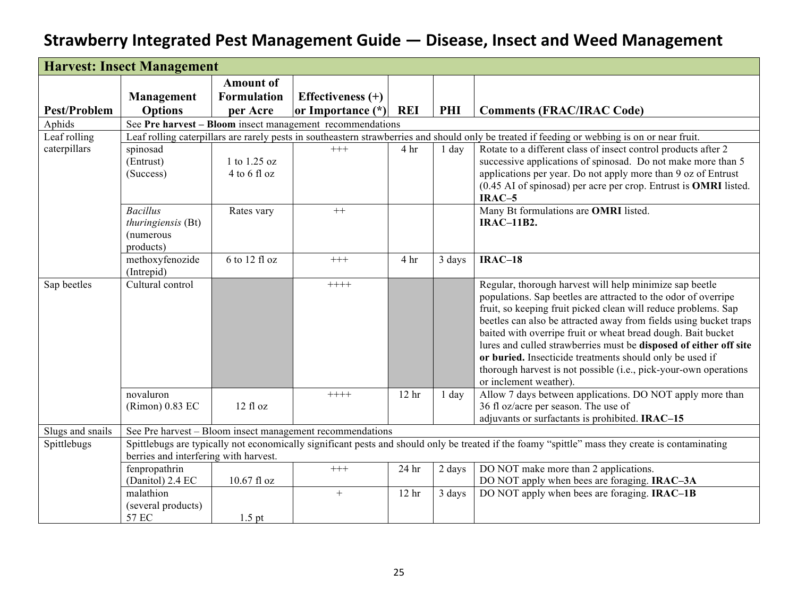|                     | <b>Harvest: Insect Management</b>     |                    |                                                           |                  |         |                                                                                                                                                  |
|---------------------|---------------------------------------|--------------------|-----------------------------------------------------------|------------------|---------|--------------------------------------------------------------------------------------------------------------------------------------------------|
|                     |                                       | <b>Amount of</b>   |                                                           |                  |         |                                                                                                                                                  |
|                     | Management                            | <b>Formulation</b> | Effectiveness $(+)$                                       |                  |         |                                                                                                                                                  |
| <b>Pest/Problem</b> | <b>Options</b>                        | per Acre           | or Importance (*) REI                                     |                  | PHI     | <b>Comments (FRAC/IRAC Code)</b>                                                                                                                 |
| Aphids              |                                       |                    | See Pre harvest – Bloom insect management recommendations |                  |         |                                                                                                                                                  |
| Leaf rolling        |                                       |                    |                                                           |                  |         | Leaf rolling caterpillars are rarely pests in southeastern strawberries and should only be treated if feeding or webbing is on or near fruit.    |
| caterpillars        | spinosad                              |                    | $^{+++}$                                                  | 4 hr             | $1$ day | Rotate to a different class of insect control products after 2                                                                                   |
|                     | (Entrust)                             | 1 to 1.25 oz       |                                                           |                  |         | successive applications of spinosad. Do not make more than 5                                                                                     |
|                     | (Success)                             | $4$ to 6 fl oz     |                                                           |                  |         | applications per year. Do not apply more than 9 oz of Entrust                                                                                    |
|                     |                                       |                    |                                                           |                  |         | (0.45 AI of spinosad) per acre per crop. Entrust is <b>OMRI</b> listed.                                                                          |
|                     |                                       |                    |                                                           |                  |         | $IRAC-5$                                                                                                                                         |
|                     | <b>Bacillus</b>                       | Rates vary         | $++$                                                      |                  |         | Many Bt formulations are OMRI listed.                                                                                                            |
|                     | thuringiensis (Bt)                    |                    |                                                           |                  |         | <b>IRAC-11B2.</b>                                                                                                                                |
|                     | (numerous<br>products)                |                    |                                                           |                  |         |                                                                                                                                                  |
|                     | methoxyfenozide                       | 6 to 12 fl oz      | $++++$                                                    | 4 hr             | 3 days  | $IRAC-18$                                                                                                                                        |
|                     | (Intrepid)                            |                    |                                                           |                  |         |                                                                                                                                                  |
| Sap beetles         | Cultural control                      |                    | $+++++$                                                   |                  |         | Regular, thorough harvest will help minimize sap beetle                                                                                          |
|                     |                                       |                    |                                                           |                  |         | populations. Sap beetles are attracted to the odor of overripe                                                                                   |
|                     |                                       |                    |                                                           |                  |         | fruit, so keeping fruit picked clean will reduce problems. Sap                                                                                   |
|                     |                                       |                    |                                                           |                  |         | beetles can also be attracted away from fields using bucket traps                                                                                |
|                     |                                       |                    |                                                           |                  |         | baited with overripe fruit or wheat bread dough. Bait bucket                                                                                     |
|                     |                                       |                    |                                                           |                  |         | lures and culled strawberries must be disposed of either off site                                                                                |
|                     |                                       |                    |                                                           |                  |         | or buried. Insecticide treatments should only be used if                                                                                         |
|                     |                                       |                    |                                                           |                  |         | thorough harvest is not possible (i.e., pick-your-own operations                                                                                 |
|                     |                                       |                    |                                                           |                  |         | or inclement weather).                                                                                                                           |
|                     | novaluron                             |                    | $+++++$                                                   | 12 <sub>hr</sub> | $1$ day | Allow 7 days between applications. DO NOT apply more than                                                                                        |
|                     | (Rimon) 0.83 EC                       | 12 fl oz           |                                                           |                  |         | 36 fl oz/acre per season. The use of<br>adjuvants or surfactants is prohibited. IRAC-15                                                          |
| Slugs and snails    |                                       |                    | See Pre harvest - Bloom insect management recommendations |                  |         |                                                                                                                                                  |
| Spittlebugs         |                                       |                    |                                                           |                  |         | Spittlebugs are typically not economically significant pests and should only be treated if the foamy "spittle" mass they create is contaminating |
|                     | berries and interfering with harvest. |                    |                                                           |                  |         |                                                                                                                                                  |
|                     | fenpropathrin                         |                    | $+++$                                                     | 24 <sub>hr</sub> | 2 days  | DO NOT make more than 2 applications.                                                                                                            |
|                     | (Danitol) 2.4 EC                      | 10.67 fl oz        |                                                           |                  |         | DO NOT apply when bees are foraging. IRAC-3A                                                                                                     |
|                     | malathion                             |                    | $+$                                                       | 12 <sub>hr</sub> | 3 days  | DO NOT apply when bees are foraging. <b>IRAC-1B</b>                                                                                              |
|                     | (several products)                    |                    |                                                           |                  |         |                                                                                                                                                  |
|                     | 57 EC                                 | $1.5$ pt           |                                                           |                  |         |                                                                                                                                                  |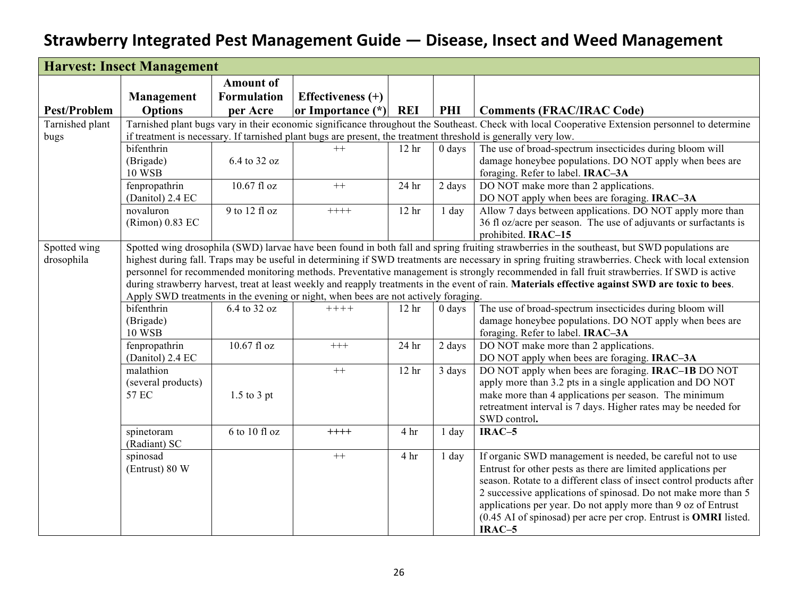|                     | <b>Harvest: Insect Management</b> |                    |                                                                                    |                   |          |                                                                                                                                                     |
|---------------------|-----------------------------------|--------------------|------------------------------------------------------------------------------------|-------------------|----------|-----------------------------------------------------------------------------------------------------------------------------------------------------|
|                     |                                   | <b>Amount of</b>   |                                                                                    |                   |          |                                                                                                                                                     |
|                     | Management                        | <b>Formulation</b> | Effectiveness $(+)$                                                                |                   |          |                                                                                                                                                     |
| <b>Pest/Problem</b> | <b>Options</b>                    | per Acre           | or Importance (*) REI                                                              |                   | PHI      | <b>Comments (FRAC/IRAC Code)</b>                                                                                                                    |
| Tarnished plant     |                                   |                    |                                                                                    |                   |          | Tarnished plant bugs vary in their economic significance throughout the Southeast. Check with local Cooperative Extension personnel to determine    |
| bugs                |                                   |                    |                                                                                    |                   |          | if treatment is necessary. If tarnished plant bugs are present, the treatment threshold is generally very low.                                      |
|                     | bifenthrin                        |                    | $++$                                                                               | 12 <sub>hr</sub>  | $0$ days | The use of broad-spectrum insecticides during bloom will                                                                                            |
|                     | (Brigade)                         | 6.4 to 32 oz       |                                                                                    |                   |          | damage honeybee populations. DO NOT apply when bees are                                                                                             |
|                     | <b>10 WSB</b>                     |                    |                                                                                    |                   |          | foraging. Refer to label. IRAC-3A                                                                                                                   |
|                     | fenpropathrin                     | 10.67 fl oz        | $++$                                                                               | $24\ \mathrm{hr}$ | 2 days   | DO NOT make more than 2 applications.                                                                                                               |
|                     | (Danitol) 2.4 EC                  |                    |                                                                                    |                   |          | DO NOT apply when bees are foraging. IRAC-3A                                                                                                        |
|                     | novaluron                         | 9 to 12 fl oz      | $+++++$                                                                            | 12 <sub>hr</sub>  | $1$ day  | Allow 7 days between applications. DO NOT apply more than                                                                                           |
|                     | (Rimon) 0.83 EC                   |                    |                                                                                    |                   |          | 36 fl oz/acre per season. The use of adjuvants or surfactants is                                                                                    |
|                     |                                   |                    |                                                                                    |                   |          | prohibited. IRAC-15                                                                                                                                 |
| Spotted wing        |                                   |                    |                                                                                    |                   |          | Spotted wing drosophila (SWD) larvae have been found in both fall and spring fruiting strawberries in the southeast, but SWD populations are        |
| drosophila          |                                   |                    |                                                                                    |                   |          | highest during fall. Traps may be useful in determining if SWD treatments are necessary in spring fruiting strawberries. Check with local extension |
|                     |                                   |                    |                                                                                    |                   |          | personnel for recommended monitoring methods. Preventative management is strongly recommended in fall fruit strawberries. If SWD is active          |
|                     |                                   |                    |                                                                                    |                   |          | during strawberry harvest, treat at least weekly and reapply treatments in the event of rain. Materials effective against SWD are toxic to bees.    |
|                     |                                   |                    | Apply SWD treatments in the evening or night, when bees are not actively foraging. |                   |          |                                                                                                                                                     |
|                     | bifenthrin                        | 6.4 to 32 oz       | $+++++$                                                                            | 12 <sub>hr</sub>  | $0$ days | The use of broad-spectrum insecticides during bloom will                                                                                            |
|                     | (Brigade)                         |                    |                                                                                    |                   |          | damage honeybee populations. DO NOT apply when bees are                                                                                             |
|                     | <b>10 WSB</b>                     |                    |                                                                                    |                   |          | foraging. Refer to label. IRAC-3A                                                                                                                   |
|                     | fenpropathrin                     | $10.67$ fl oz      | $++++$                                                                             | 24 hr             | 2 days   | DO NOT make more than 2 applications.                                                                                                               |
|                     | (Danitol) 2.4 EC                  |                    |                                                                                    |                   |          | DO NOT apply when bees are foraging. IRAC-3A                                                                                                        |
|                     | malathion                         |                    | $++$                                                                               | 12 <sub>hr</sub>  | 3 days   | DO NOT apply when bees are foraging. <b>IRAC-1B</b> DO NOT                                                                                          |
|                     | (several products)                |                    |                                                                                    |                   |          | apply more than 3.2 pts in a single application and DO NOT                                                                                          |
|                     | 57 EC                             | $1.5$ to $3$ pt    |                                                                                    |                   |          | make more than 4 applications per season. The minimum                                                                                               |
|                     |                                   |                    |                                                                                    |                   |          | retreatment interval is 7 days. Higher rates may be needed for                                                                                      |
|                     |                                   |                    |                                                                                    |                   |          | SWD control.                                                                                                                                        |
|                     | spinetoram                        | 6 to 10 fl oz      | $+++++$                                                                            | 4 hr              | $1$ day  | $IRAC-5$                                                                                                                                            |
|                     | (Radiant) SC                      |                    |                                                                                    |                   |          |                                                                                                                                                     |
|                     | spinosad                          |                    | $^{++}$                                                                            | 4 hr              | $1$ day  | If organic SWD management is needed, be careful not to use                                                                                          |
|                     | (Entrust) 80 W                    |                    |                                                                                    |                   |          | Entrust for other pests as there are limited applications per                                                                                       |
|                     |                                   |                    |                                                                                    |                   |          | season. Rotate to a different class of insect control products after                                                                                |
|                     |                                   |                    |                                                                                    |                   |          | 2 successive applications of spinosad. Do not make more than 5                                                                                      |
|                     |                                   |                    |                                                                                    |                   |          | applications per year. Do not apply more than 9 oz of Entrust                                                                                       |
|                     |                                   |                    |                                                                                    |                   |          | (0.45 AI of spinosad) per acre per crop. Entrust is <b>OMRI</b> listed.                                                                             |
|                     |                                   |                    |                                                                                    |                   |          | IRAC-5                                                                                                                                              |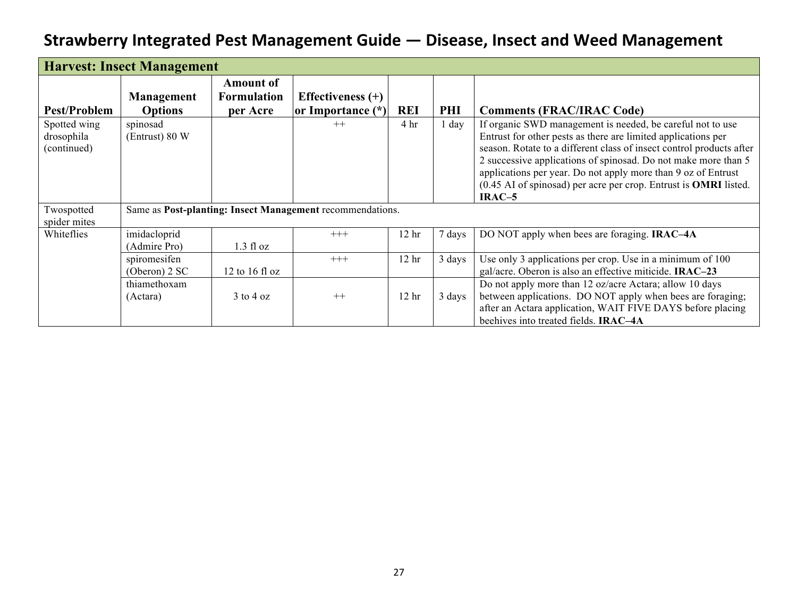|                                           | <b>Harvest: Insect Management</b>   |                                                    |                                                           |                  |        |                                                                                                                                                                                                                                                                                                                                                                                                                               |
|-------------------------------------------|-------------------------------------|----------------------------------------------------|-----------------------------------------------------------|------------------|--------|-------------------------------------------------------------------------------------------------------------------------------------------------------------------------------------------------------------------------------------------------------------------------------------------------------------------------------------------------------------------------------------------------------------------------------|
| <b>Pest/Problem</b>                       | <b>Management</b><br><b>Options</b> | <b>Amount of</b><br><b>Formulation</b><br>per Acre | Effectiveness $(+)$<br>or Importance (*)                  | <b>REI</b>       | PHI    | <b>Comments (FRAC/IRAC Code)</b>                                                                                                                                                                                                                                                                                                                                                                                              |
| Spotted wing<br>drosophila<br>(continued) | spinosad<br>(Entrust) 80 W          |                                                    | $++$                                                      | 4 <sup>hr</sup>  | day    | If organic SWD management is needed, be careful not to use<br>Entrust for other pests as there are limited applications per<br>season. Rotate to a different class of insect control products after<br>2 successive applications of spinosad. Do not make more than 5<br>applications per year. Do not apply more than 9 oz of Entrust<br>(0.45 AI of spinosad) per acre per crop. Entrust is <b>OMRI</b> listed.<br>$IRAC-5$ |
| Twospotted<br>spider mites                |                                     |                                                    | Same as Post-planting: Insect Management recommendations. |                  |        |                                                                                                                                                                                                                                                                                                                                                                                                                               |
| Whiteflies                                | imidacloprid<br>(Admire Pro)        | 1.3 fl oz                                          | $+++$                                                     | 12 <sub>hr</sub> | 7 days | DO NOT apply when bees are foraging. <b>IRAC-4A</b>                                                                                                                                                                                                                                                                                                                                                                           |
|                                           | spiromesifen<br>(Oberon) 2 SC       | 12 to 16 fl oz                                     | $+++$                                                     | 12 <sub>hr</sub> | 3 days | Use only 3 applications per crop. Use in a minimum of 100<br>gal/acre. Oberon is also an effective miticide. IRAC-23                                                                                                                                                                                                                                                                                                          |
|                                           | thiamethoxam<br>(Actara)            | $3 \text{ to } 4 \text{ oz}$                       | $++$                                                      | 12 <sub>hr</sub> | 3 days | Do not apply more than 12 oz/acre Actara; allow 10 days<br>between applications. DO NOT apply when bees are foraging;<br>after an Actara application, WAIT FIVE DAYS before placing<br>beehives into treated fields. <b>IRAC-4A</b>                                                                                                                                                                                           |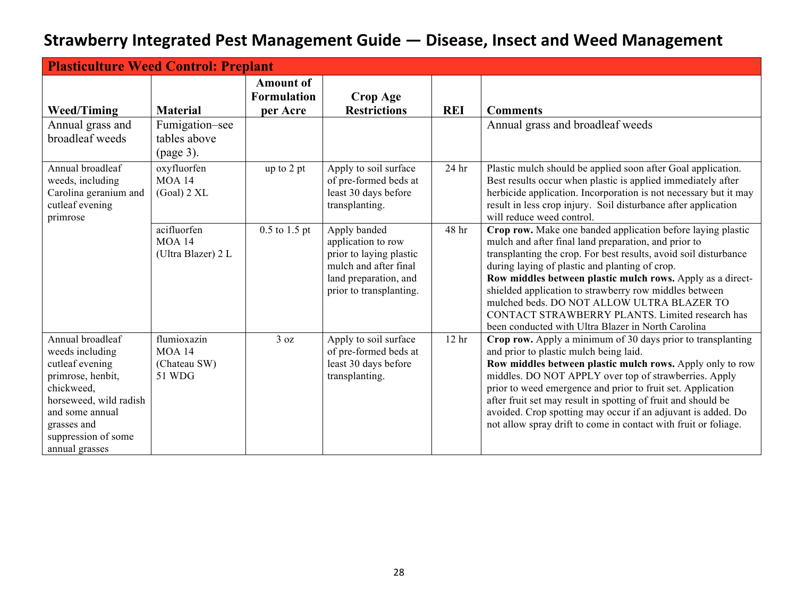| <b>Plasticulture Weed Control: Preplant</b>                                                                                                                                                    |                                                        |                                                    |                                                                                                                                            |                  |                                                                                                                                                                                                                                                                                                                                                                                                                                                                                                                          |
|------------------------------------------------------------------------------------------------------------------------------------------------------------------------------------------------|--------------------------------------------------------|----------------------------------------------------|--------------------------------------------------------------------------------------------------------------------------------------------|------------------|--------------------------------------------------------------------------------------------------------------------------------------------------------------------------------------------------------------------------------------------------------------------------------------------------------------------------------------------------------------------------------------------------------------------------------------------------------------------------------------------------------------------------|
| <b>Weed/Timing</b>                                                                                                                                                                             | <b>Material</b>                                        | <b>Amount of</b><br><b>Formulation</b><br>per Acre | <b>Crop Age</b><br><b>Restrictions</b>                                                                                                     | <b>REI</b>       | <b>Comments</b>                                                                                                                                                                                                                                                                                                                                                                                                                                                                                                          |
| Annual grass and<br>broadleaf weeds                                                                                                                                                            | Fumigation–see<br>tables above<br>(page 3).            |                                                    |                                                                                                                                            |                  | Annual grass and broadleaf weeds                                                                                                                                                                                                                                                                                                                                                                                                                                                                                         |
| Annual broadleaf<br>weeds, including<br>Carolina geranium and<br>cutleaf evening<br>primrose                                                                                                   | oxyfluorfen<br><b>MOA 14</b><br>$(Goal)$ 2 XL          | up to 2 pt                                         | Apply to soil surface<br>of pre-formed beds at<br>least 30 days before<br>transplanting.                                                   | 24 hr            | Plastic mulch should be applied soon after Goal application.<br>Best results occur when plastic is applied immediately after<br>herbicide application. Incorporation is not necessary but it may<br>result in less crop injury. Soil disturbance after application<br>will reduce weed control.                                                                                                                                                                                                                          |
|                                                                                                                                                                                                | acifluorfen<br><b>MOA 14</b><br>(Ultra Blazer) 2 L     | $0.5$ to $1.5$ pt                                  | Apply banded<br>application to row<br>prior to laying plastic<br>mulch and after final<br>land preparation, and<br>prior to transplanting. | 48 hr            | Crop row. Make one banded application before laying plastic<br>mulch and after final land preparation, and prior to<br>transplanting the crop. For best results, avoid soil disturbance<br>during laying of plastic and planting of crop.<br>Row middles between plastic mulch rows. Apply as a direct-<br>shielded application to strawberry row middles between<br>mulched beds. DO NOT ALLOW ULTRA BLAZER TO<br>CONTACT STRAWBERRY PLANTS. Limited research has<br>been conducted with Ultra Blazer in North Carolina |
| Annual broadleaf<br>weeds including<br>cutleaf evening<br>primrose, henbit,<br>chickweed,<br>horseweed, wild radish<br>and some annual<br>grasses and<br>suppression of some<br>annual grasses | flumioxazin<br><b>MOA 14</b><br>(Chateau SW)<br>51 WDG | 3 oz                                               | Apply to soil surface<br>of pre-formed beds at<br>least 30 days before<br>transplanting.                                                   | 12 <sup>hr</sup> | Crop row. Apply a minimum of 30 days prior to transplanting<br>and prior to plastic mulch being laid.<br>Row middles between plastic mulch rows. Apply only to row<br>middles. DO NOT APPLY over top of strawberries. Apply<br>prior to weed emergence and prior to fruit set. Application<br>after fruit set may result in spotting of fruit and should be<br>avoided. Crop spotting may occur if an adjuvant is added. Do<br>not allow spray drift to come in contact with fruit or foliage.                           |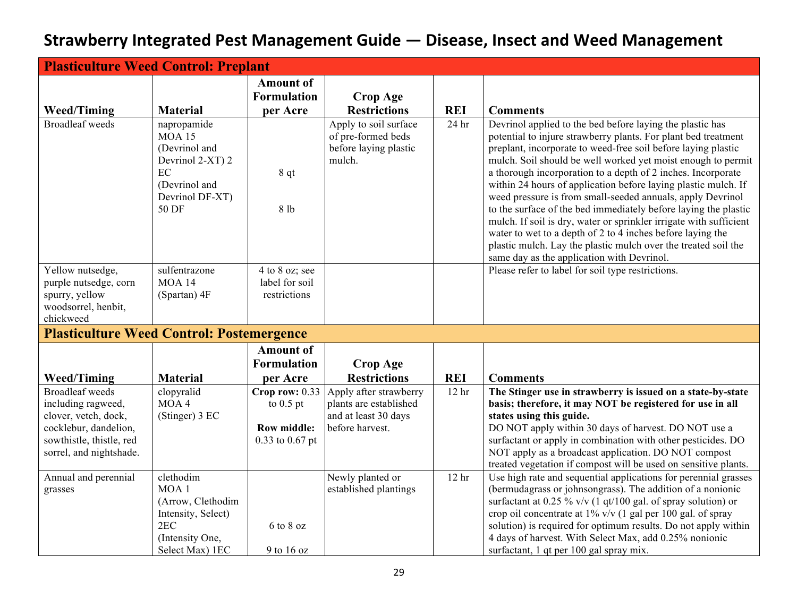| <b>Plasticulture Weed Control: Preplant</b>                                                                                                          |                                                                                                                       |                                                                          |                                                                                             |                  |                                                                                                                                                                                                                                                                                                                                                                                                                                                                                                                                                                                                                                                                                                                                                                                     |  |  |
|------------------------------------------------------------------------------------------------------------------------------------------------------|-----------------------------------------------------------------------------------------------------------------------|--------------------------------------------------------------------------|---------------------------------------------------------------------------------------------|------------------|-------------------------------------------------------------------------------------------------------------------------------------------------------------------------------------------------------------------------------------------------------------------------------------------------------------------------------------------------------------------------------------------------------------------------------------------------------------------------------------------------------------------------------------------------------------------------------------------------------------------------------------------------------------------------------------------------------------------------------------------------------------------------------------|--|--|
| <b>Weed/Timing</b>                                                                                                                                   | <b>Material</b>                                                                                                       | <b>Amount of</b><br><b>Formulation</b><br>per Acre                       | <b>Crop Age</b><br><b>Restrictions</b>                                                      | <b>REI</b>       | <b>Comments</b>                                                                                                                                                                                                                                                                                                                                                                                                                                                                                                                                                                                                                                                                                                                                                                     |  |  |
| <b>Broadleaf</b> weeds                                                                                                                               | napropamide<br><b>MOA 15</b><br>(Devrinol and<br>Devrinol 2-XT) 2<br>EC<br>(Devrinol and<br>Devrinol DF-XT)<br>50 DF  | 8 qt<br>8 lb                                                             | Apply to soil surface<br>of pre-formed beds<br>before laying plastic<br>mulch.              | 24 hr            | Devrinol applied to the bed before laying the plastic has<br>potential to injure strawberry plants. For plant bed treatment<br>preplant, incorporate to weed-free soil before laying plastic<br>mulch. Soil should be well worked yet moist enough to permit<br>a thorough incorporation to a depth of 2 inches. Incorporate<br>within 24 hours of application before laying plastic mulch. If<br>weed pressure is from small-seeded annuals, apply Devrinol<br>to the surface of the bed immediately before laying the plastic<br>mulch. If soil is dry, water or sprinkler irrigate with sufficient<br>water to wet to a depth of 2 to 4 inches before laying the<br>plastic mulch. Lay the plastic mulch over the treated soil the<br>same day as the application with Devrinol. |  |  |
| Yellow nutsedge,<br>purple nutsedge, corn<br>spurry, yellow<br>woodsorrel, henbit,<br>chickweed                                                      | sulfentrazone<br><b>MOA 14</b><br>(Spartan) 4F                                                                        | 4 to 8 oz; see<br>label for soil<br>restrictions                         |                                                                                             |                  | Please refer to label for soil type restrictions.                                                                                                                                                                                                                                                                                                                                                                                                                                                                                                                                                                                                                                                                                                                                   |  |  |
| <b>Plasticulture Weed Control: Postemergence</b>                                                                                                     |                                                                                                                       |                                                                          |                                                                                             |                  |                                                                                                                                                                                                                                                                                                                                                                                                                                                                                                                                                                                                                                                                                                                                                                                     |  |  |
| <b>Weed/Timing</b>                                                                                                                                   | <b>Material</b>                                                                                                       | <b>Amount of</b><br><b>Formulation</b><br>per Acre                       | <b>Crop Age</b><br><b>Restrictions</b>                                                      | <b>REI</b>       | <b>Comments</b>                                                                                                                                                                                                                                                                                                                                                                                                                                                                                                                                                                                                                                                                                                                                                                     |  |  |
| <b>Broadleaf</b> weeds<br>including ragweed,<br>clover, vetch, dock,<br>cocklebur, dandelion,<br>sowthistle, thistle, red<br>sorrel, and nightshade. | clopyralid<br>MOA 4<br>(Stinger) 3 EC                                                                                 | Crop row: $0.33$<br>to $0.5$ pt<br><b>Row middle:</b><br>0.33 to 0.67 pt | Apply after strawberry<br>plants are established<br>and at least 30 days<br>before harvest. | 12 <sub>hr</sub> | The Stinger use in strawberry is issued on a state-by-state<br>basis; therefore, it may NOT be registered for use in all<br>states using this guide.<br>DO NOT apply within 30 days of harvest. DO NOT use a<br>surfactant or apply in combination with other pesticides. DO<br>NOT apply as a broadcast application. DO NOT compost<br>treated vegetation if compost will be used on sensitive plants.                                                                                                                                                                                                                                                                                                                                                                             |  |  |
| Annual and perennial<br>grasses                                                                                                                      | clethodim<br>MOA <sub>1</sub><br>(Arrow, Clethodim<br>Intensity, Select)<br>2EC<br>(Intensity One,<br>Select Max) 1EC | 6 to 8 oz<br>9 to 16 oz                                                  | Newly planted or<br>established plantings                                                   | 12 <sub>hr</sub> | Use high rate and sequential applications for perennial grasses<br>(bermudagrass or johnsongrass). The addition of a nonionic<br>surfactant at 0.25 % v/v (1 qt/100 gal. of spray solution) or<br>crop oil concentrate at $1\%$ v/v (1 gal per 100 gal. of spray<br>solution) is required for optimum results. Do not apply within<br>4 days of harvest. With Select Max, add 0.25% nonionic<br>surfactant, 1 qt per 100 gal spray mix.                                                                                                                                                                                                                                                                                                                                             |  |  |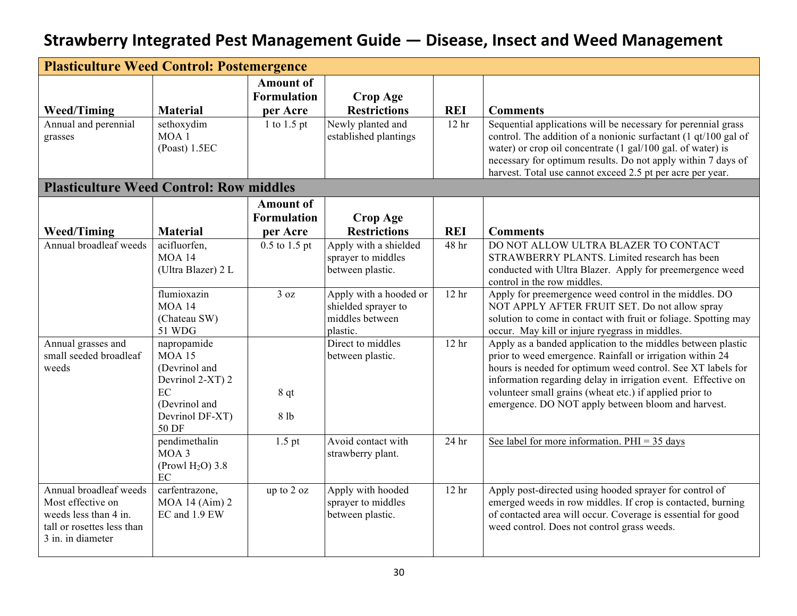| <b>Plasticulture Weed Control: Postemergence</b>                                                                        |                                                                                                                      |                                                    |                                                                              |                  |                                                                                                                                                                                                                                                                                                                                                                            |  |
|-------------------------------------------------------------------------------------------------------------------------|----------------------------------------------------------------------------------------------------------------------|----------------------------------------------------|------------------------------------------------------------------------------|------------------|----------------------------------------------------------------------------------------------------------------------------------------------------------------------------------------------------------------------------------------------------------------------------------------------------------------------------------------------------------------------------|--|
|                                                                                                                         |                                                                                                                      | <b>Amount</b> of<br><b>Formulation</b>             | <b>Crop Age</b>                                                              |                  |                                                                                                                                                                                                                                                                                                                                                                            |  |
| <b>Weed/Timing</b>                                                                                                      | <b>Material</b>                                                                                                      | per Acre                                           | <b>Restrictions</b>                                                          | <b>REI</b>       | <b>Comments</b>                                                                                                                                                                                                                                                                                                                                                            |  |
| Annual and perennial<br>grasses                                                                                         | sethoxydim<br>MOA <sub>1</sub><br>(Poast) 1.5EC                                                                      | 1 to 1.5 pt                                        | Newly planted and<br>established plantings                                   | 12 <sub>hr</sub> | Sequential applications will be necessary for perennial grass<br>control. The addition of a nonionic surfactant (1 qt/100 gal of<br>water) or crop oil concentrate (1 gal/100 gal. of water) is<br>necessary for optimum results. Do not apply within 7 days of<br>harvest. Total use cannot exceed 2.5 pt per acre per year.                                              |  |
| <b>Plasticulture Weed Control: Row middles</b>                                                                          |                                                                                                                      |                                                    |                                                                              |                  |                                                                                                                                                                                                                                                                                                                                                                            |  |
| <b>Weed/Timing</b>                                                                                                      | <b>Material</b>                                                                                                      | <b>Amount of</b><br><b>Formulation</b><br>per Acre | <b>Crop Age</b><br><b>Restrictions</b>                                       | <b>REI</b>       | <b>Comments</b>                                                                                                                                                                                                                                                                                                                                                            |  |
| Annual broadleaf weeds                                                                                                  | acifluorfen,<br><b>MOA 14</b><br>(Ultra Blazer) 2 L                                                                  | $0.5$ to $1.5$ pt                                  | Apply with a shielded<br>sprayer to middles<br>between plastic.              | 48 hr            | DO NOT ALLOW ULTRA BLAZER TO CONTACT<br>STRAWBERRY PLANTS. Limited research has been<br>conducted with Ultra Blazer. Apply for preemergence weed<br>control in the row middles.                                                                                                                                                                                            |  |
|                                                                                                                         | flumioxazin<br><b>MOA 14</b><br>(Chateau SW)<br><b>51 WDG</b>                                                        | 3 oz                                               | Apply with a hooded or<br>shielded sprayer to<br>middles between<br>plastic. | 12 <sub>hr</sub> | Apply for preemergence weed control in the middles. DO<br>NOT APPLY AFTER FRUIT SET. Do not allow spray<br>solution to come in contact with fruit or foliage. Spotting may<br>occur. May kill or injure ryegrass in middles.                                                                                                                                               |  |
| Annual grasses and<br>small seeded broadleaf<br>weeds                                                                   | napropamide<br><b>MOA 15</b><br>(Devrinol and<br>Devrinol 2-XT) 2<br>EC<br>(Devrinol and<br>Devrinol DF-XT)<br>50 DF | 8 qt<br>8 lb                                       | Direct to middles<br>between plastic.                                        | 12 <sub>hr</sub> | Apply as a banded application to the middles between plastic<br>prior to weed emergence. Rainfall or irrigation within 24<br>hours is needed for optimum weed control. See XT labels for<br>information regarding delay in irrigation event. Effective on<br>volunteer small grains (wheat etc.) if applied prior to<br>emergence. DO NOT apply between bloom and harvest. |  |
|                                                                                                                         | pendimethalin<br>MOA 3<br>(Prowl $H2O$ ) 3.8<br>EC                                                                   | $1.5$ pt                                           | Avoid contact with<br>strawberry plant.                                      | 24 <sub>hr</sub> | See label for more information. $PHI = 35$ days                                                                                                                                                                                                                                                                                                                            |  |
| Annual broadleaf weeds<br>Most effective on<br>weeds less than 4 in.<br>tall or rosettes less than<br>3 in. in diameter | carfentrazone,<br>$MOA$ 14 (Aim) 2<br>EC and 1.9 EW                                                                  | up to 2 oz                                         | Apply with hooded<br>sprayer to middles<br>between plastic.                  | 12 <sub>hr</sub> | Apply post-directed using hooded sprayer for control of<br>emerged weeds in row middles. If crop is contacted, burning<br>of contacted area will occur. Coverage is essential for good<br>weed control. Does not control grass weeds.                                                                                                                                      |  |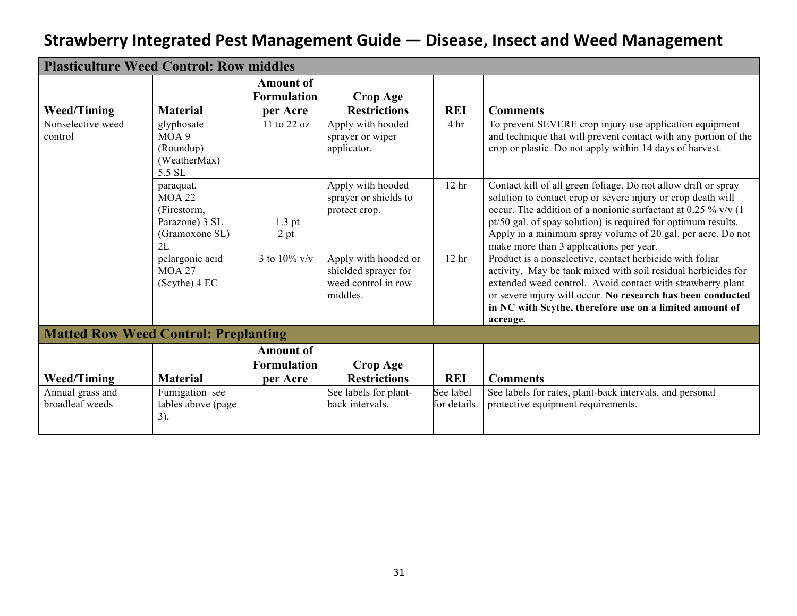| <b>Plasticulture Weed Control: Row middles</b> |                                                                                     |                                                    |                                                                                 |                           |                                                                                                                                                                                                                                                                                                                                                                               |  |  |
|------------------------------------------------|-------------------------------------------------------------------------------------|----------------------------------------------------|---------------------------------------------------------------------------------|---------------------------|-------------------------------------------------------------------------------------------------------------------------------------------------------------------------------------------------------------------------------------------------------------------------------------------------------------------------------------------------------------------------------|--|--|
| <b>Weed/Timing</b>                             | <b>Material</b>                                                                     | <b>Amount of</b><br><b>Formulation</b><br>per Acre | <b>Crop Age</b><br><b>Restrictions</b>                                          | <b>REI</b>                | <b>Comments</b>                                                                                                                                                                                                                                                                                                                                                               |  |  |
| Nonselective weed<br>control                   | glyphosate<br>MOA 9<br>(Roundup)<br>(WeatherMax)<br>5.5 SL                          | 11 to 22 oz                                        | Apply with hooded<br>sprayer or wiper<br>applicator.                            | 4 <sup>hr</sup>           | To prevent SEVERE crop injury use application equipment<br>and technique that will prevent contact with any portion of the<br>crop or plastic. Do not apply within 14 days of harvest.                                                                                                                                                                                        |  |  |
|                                                | paraquat,<br><b>MOA 22</b><br>(Firestorm,<br>Parazone) 3 SL<br>(Gramoxone SL)<br>2L | $1.3$ pt<br>2 pt                                   | Apply with hooded<br>sprayer or shields to<br>protect crop.                     | 12 <sub>hr</sub>          | Contact kill of all green foliage. Do not allow drift or spray<br>solution to contact crop or severe injury or crop death will<br>occur. The addition of a nonionic surfactant at 0.25 % v/v $(1)$<br>pt/50 gal. of spay solution) is required for optimum results.<br>Apply in a minimum spray volume of 20 gal. per acre. Do not<br>make more than 3 applications per year. |  |  |
|                                                | pelargonic acid<br><b>MOA 27</b><br>$(Scythe)$ 4 EC                                 | 3 to 10% $v/v$                                     | Apply with hooded or<br>shielded sprayer for<br>weed control in row<br>middles. | 12 <sub>hr</sub>          | Product is a nonselective, contact herbicide with foliar<br>activity. May be tank mixed with soil residual herbicides for<br>extended weed control. Avoid contact with strawberry plant<br>or severe injury will occur. No research has been conducted<br>in NC with Scythe, therefore use on a limited amount of<br>acreage.                                                 |  |  |
| <b>Matted Row Weed Control: Preplanting</b>    |                                                                                     |                                                    |                                                                                 |                           |                                                                                                                                                                                                                                                                                                                                                                               |  |  |
| <b>Weed/Timing</b>                             | <b>Material</b>                                                                     | <b>Amount of</b><br><b>Formulation</b><br>per Acre | <b>Crop Age</b><br><b>Restrictions</b>                                          | <b>REI</b>                | <b>Comments</b>                                                                                                                                                                                                                                                                                                                                                               |  |  |
| Annual grass and<br>broadleaf weeds            | Fumigation-see<br>tables above (page)<br>$3)$ .                                     |                                                    | See labels for plant-<br>back intervals.                                        | See label<br>for details. | See labels for rates, plant-back intervals, and personal<br>protective equipment requirements.                                                                                                                                                                                                                                                                                |  |  |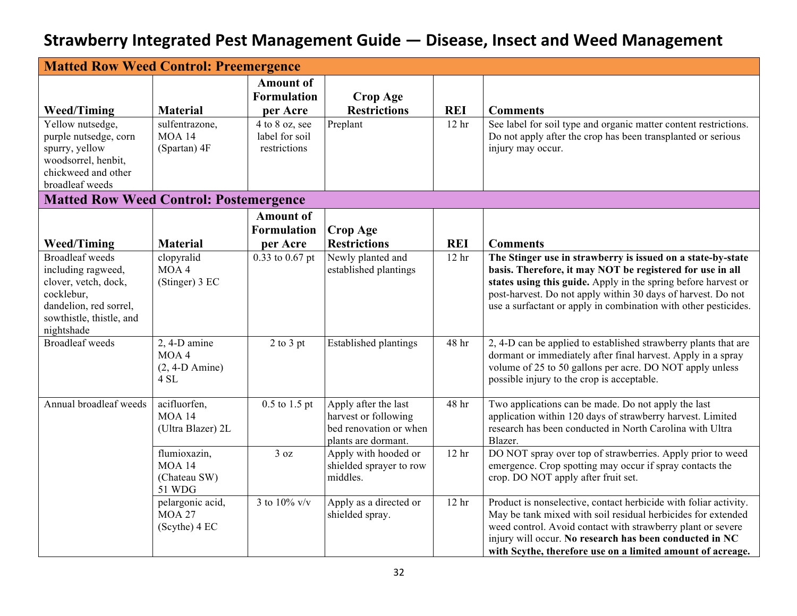| <b>Matted Row Weed Control: Preemergence</b>                                                                                                           |                                                            |                                                    |                                                                                               |                  |                                                                                                                                                                                                                                                                                                                               |  |
|--------------------------------------------------------------------------------------------------------------------------------------------------------|------------------------------------------------------------|----------------------------------------------------|-----------------------------------------------------------------------------------------------|------------------|-------------------------------------------------------------------------------------------------------------------------------------------------------------------------------------------------------------------------------------------------------------------------------------------------------------------------------|--|
|                                                                                                                                                        |                                                            | <b>Amount of</b><br><b>Formulation</b>             | <b>Crop Age</b>                                                                               |                  |                                                                                                                                                                                                                                                                                                                               |  |
| <b>Weed/Timing</b>                                                                                                                                     | <b>Material</b>                                            | per Acre                                           | <b>Restrictions</b>                                                                           | <b>REI</b>       | <b>Comments</b>                                                                                                                                                                                                                                                                                                               |  |
| Yellow nutsedge,<br>purple nutsedge, corn<br>spurry, yellow<br>woodsorrel, henbit,<br>chickweed and other<br>broadleaf weeds                           | sulfentrazone,<br><b>MOA 14</b><br>(Spartan) 4F            | 4 to 8 oz, see<br>label for soil<br>restrictions   | Preplant                                                                                      | 12 <sub>hr</sub> | See label for soil type and organic matter content restrictions.<br>Do not apply after the crop has been transplanted or serious<br>injury may occur.                                                                                                                                                                         |  |
| <b>Matted Row Weed Control: Postemergence</b>                                                                                                          |                                                            |                                                    |                                                                                               |                  |                                                                                                                                                                                                                                                                                                                               |  |
| <b>Weed/Timing</b>                                                                                                                                     | <b>Material</b>                                            | <b>Amount of</b><br><b>Formulation</b><br>per Acre | Crop Age<br><b>Restrictions</b>                                                               | <b>REI</b>       | <b>Comments</b>                                                                                                                                                                                                                                                                                                               |  |
| <b>Broadleaf</b> weeds<br>including ragweed,<br>clover, vetch, dock,<br>cocklebur,<br>dandelion, red sorrel,<br>sowthistle, thistle, and<br>nightshade | clopyralid<br>MOA4<br>(Stinger) 3 EC                       | 0.33 to 0.67 pt                                    | Newly planted and<br>established plantings                                                    | 12 <sub>hr</sub> | The Stinger use in strawberry is issued on a state-by-state<br>basis. Therefore, it may NOT be registered for use in all<br>states using this guide. Apply in the spring before harvest or<br>post-harvest. Do not apply within 30 days of harvest. Do not<br>use a surfactant or apply in combination with other pesticides. |  |
| <b>Broadleaf</b> weeds                                                                                                                                 | $2, 4-D$ amine<br>MOA4<br>$(2, 4-D \text{ Amine})$<br>4 SL | $2$ to $3$ pt                                      | <b>Established plantings</b>                                                                  | 48 hr            | 2, 4-D can be applied to established strawberry plants that are<br>dormant or immediately after final harvest. Apply in a spray<br>volume of 25 to 50 gallons per acre. DO NOT apply unless<br>possible injury to the crop is acceptable.                                                                                     |  |
| Annual broadleaf weeds                                                                                                                                 | acifluorfen,<br><b>MOA 14</b><br>(Ultra Blazer) 2L         | $0.5$ to 1.5 pt                                    | Apply after the last<br>harvest or following<br>bed renovation or when<br>plants are dormant. | 48 hr            | Two applications can be made. Do not apply the last<br>application within 120 days of strawberry harvest. Limited<br>research has been conducted in North Carolina with Ultra<br>Blazer.                                                                                                                                      |  |
|                                                                                                                                                        | flumioxazin,<br><b>MOA 14</b><br>(Chateau SW)<br>51 WDG    | 3 oz                                               | Apply with hooded or<br>shielded sprayer to row<br>middles.                                   | 12 <sub>hr</sub> | DO NOT spray over top of strawberries. Apply prior to weed<br>emergence. Crop spotting may occur if spray contacts the<br>crop. DO NOT apply after fruit set.                                                                                                                                                                 |  |
|                                                                                                                                                        | pelargonic acid,<br><b>MOA 27</b><br>(Scythe) 4 EC         | 3 to 10% $v/v$                                     | Apply as a directed or<br>shielded spray.                                                     | 12 <sub>hr</sub> | Product is nonselective, contact herbicide with foliar activity.<br>May be tank mixed with soil residual herbicides for extended<br>weed control. Avoid contact with strawberry plant or severe<br>injury will occur. No research has been conducted in NC<br>with Scythe, therefore use on a limited amount of acreage.      |  |